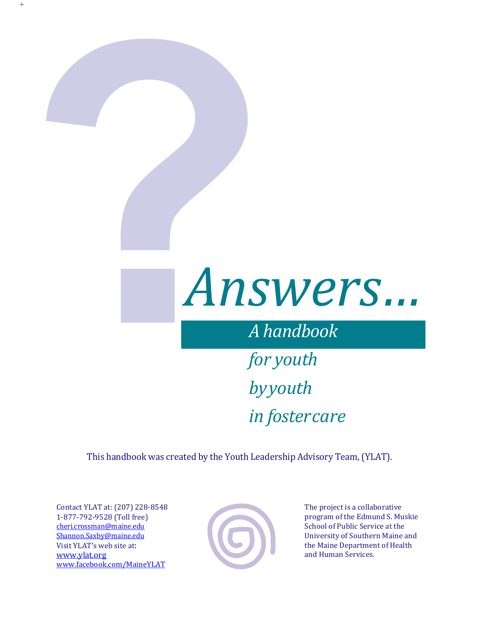# *Answers…* **1999**

# *A handbook*

*for youth byyouth in fostercare*

This handbook was created by the Youth Leadership Advisory Team, (YLAT).

Contact YLAT at: (207) 228-8548 1-877-792-9528 (Toll free) [cheri.crossman@maine.edu](mailto:cheri.crossman@maine.edu) [Shannon.Saxby@maine.edu](mailto:Shannon.Saxby@maine.edu) Visit YLAT's web site at: [www.ylat.org](http://www.ylat.org/) [www.facebook.com/MaineYLAT](http://www.facebook.com/MaineYLAT)

+



The project is a collaborative program of the Edmund S. Muskie School of Public Service at the University of Southern Maine and the Maine Department of Health and Human Services.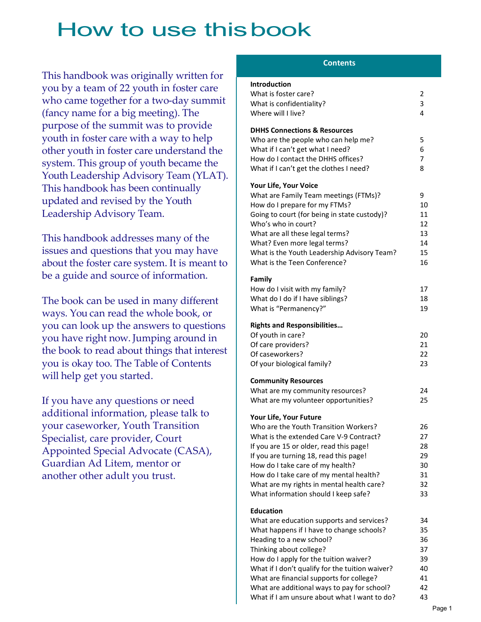# How to use thisbook

This handbook was originally written for you by a team of 22 youth in foster care who came together for a two-day summit (fancy name for a big meeting). The purpose of the summit was to provide youth in foster care with a way to help other youth in foster care understand the system. This group of youth became the Youth Leadership Advisory Team (YLAT). This handbook has been continually updated and revised by the Youth Leadership Advisory Team.

This handbook addresses many of the issues and questions that you may have about the foster care system. It is meant to be a guide and source of information.

The book can be used in many different ways. You can read the whole book, or you can look up the answers to questions you have right now. Jumping around in the book to read about things that interest you is okay too. The Table of Contents will help get you started.

If you have any questions or need additional information, please talk to your caseworker, Youth Transition Specialist, care provider, Court Appointed Special Advocate (CASA), Guardian Ad Litem, mentor or another other adult you trust.

### **Contents**

| <b>Introduction</b>                                 |          |
|-----------------------------------------------------|----------|
| What is foster care?                                | 2        |
| What is confidentiality?                            | 3        |
| Where will I live?                                  | 4        |
|                                                     |          |
| <b>DHHS Connections &amp; Resources</b>             |          |
| Who are the people who can help me?                 | 5        |
| What if I can't get what I need?                    | 6        |
| How do I contact the DHHS offices?                  | 7        |
| What if I can't get the clothes I need?             | 8        |
|                                                     |          |
| Your Life, Your Voice                               |          |
| What are Family Team meetings (FTMs)?               | 9        |
| How do I prepare for my FTMs?                       | 10       |
| Going to court (for being in state custody)?        | 11       |
| Who's who in court?                                 | 12       |
| What are all these legal terms?                     | 13       |
| What? Even more legal terms?                        | 14       |
| What is the Youth Leadership Advisory Team?         | 15       |
| What is the Teen Conference?                        | 16       |
| Family                                              |          |
| How do I visit with my family?                      | 17       |
| What do I do if I have siblings?                    | 18       |
| What is "Permanency?"                               | 19       |
|                                                     |          |
| <b>Rights and Responsibilities</b>                  |          |
| Of youth in care?                                   | 20       |
| Of care providers?                                  | 21       |
| Of caseworkers?                                     | 22       |
| Of your biological family?                          | 23       |
|                                                     |          |
| <b>Community Resources</b>                          |          |
| What are my community resources?                    | 24       |
| What are my volunteer opportunities?                | 25       |
| Your Life, Your Future                              |          |
| Who are the Youth Transition Workers?               | 26       |
| What is the extended Care V-9 Contract?             | 27       |
| If you are 15 or older, read this page!             | 28       |
| If you are turning 18, read this page!              | 29       |
| How do I take care of my health?                    | 30       |
| How do I take care of my mental health?             | 31       |
| What are my rights in mental health care?           | 32       |
| What information should I keep safe?                | 33       |
|                                                     |          |
| <b>Education</b>                                    |          |
| What are education supports and services?           | 34<br>35 |
| What happens if I have to change schools?           | 36       |
| Heading to a new school?<br>Thinking about college? | 37       |
| How do I apply for the tuition waiver?              | 39       |
| What if I don't qualify for the tuition waiver?     | 40       |
| What are financial supports for college?            | 41       |
| What are additional ways to pay for school?         | 42       |
| What if I am unsure about what I want to do?        | 43       |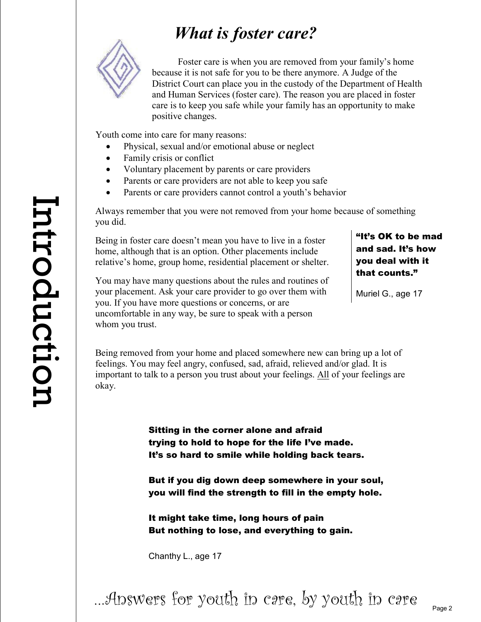# *What is foster care?*



Foster care is when you are removed from your family's home because it is not safe for you to be there anymore. A Judge of the District Court can place you in the custody of the Department of Health and Human Services (foster care). The reason you are placed in foster care is to keep you safe while your family has an opportunity to make positive changes.

Youth come into care for many reasons:

- Physical, sexual and/or emotional abuse or neglect
- Family crisis or conflict
- Voluntary placement by parents or care providers
- Parents or care providers are not able to keep you safe
- Parents or care providers cannot control a youth's behavior

Always remember that you were not removed from your home because of something you did.

Being in foster care doesn't mean you have to live in a foster home, although that is an option. Other placements include relative's home, group home, residential placement or shelter.

You may have many questions about the rules and routines of your placement. Ask your care provider to go over them with you. If you have more questions or concerns, or are uncomfortable in any way, be sure to speak with a person whom you trust.

# "It's OK to be mad and sad. It's how you deal with it that counts."

Muriel G., age 17

Being removed from your home and placed somewhere new can bring up a lot of feelings. You may feel angry, confused, sad, afraid, relieved and/or glad. It is important to talk to a person you trust about your feelings. All of your feelings are okay.

> Sitting in the corner alone and afraid trying to hold to hope for the life I've made. It's so hard to smile while holding back tears.

But if you dig down deep somewhere in your soul, you will find the strength to fill in the empty hole.

It might take time, long hours of pain But nothing to lose, and everything to gain.

Chanthy L., age 17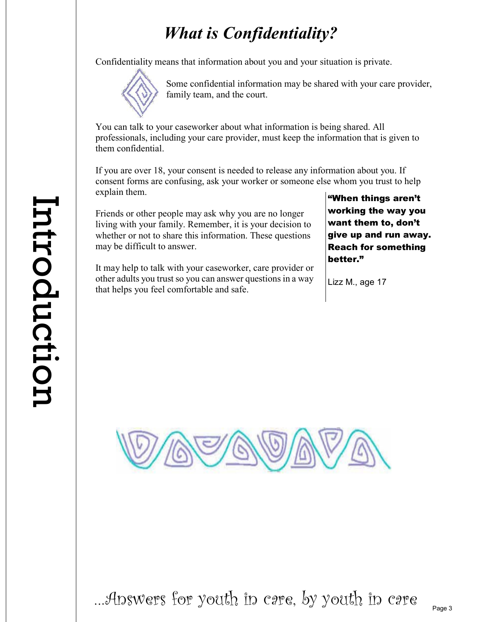# *What is Confidentiality?*

Confidentiality means that information about you and your situation is private.



Some confidential information may be shared with your care provider, family team, and the court.

You can talk to your caseworker about what information is being shared. All professionals, including your care provider, must keep the information that is given to them confidential.

If you are over 18, your consent is needed to release any information about you. If consent forms are confusing, ask your worker or someone else whom you trust to help explain them.

Friends or other people may ask why you are no longer living with your family. Remember, it is your decision to whether or not to share this information. These questions may be difficult to answer.

It may help to talk with your caseworker, care provider or other adults you trust so you can answer questions in a way that helps you feel comfortable and safe.

"When things aren't working the way you want them to, don't give up and run away. Reach for something better."

Lizz M., age 17

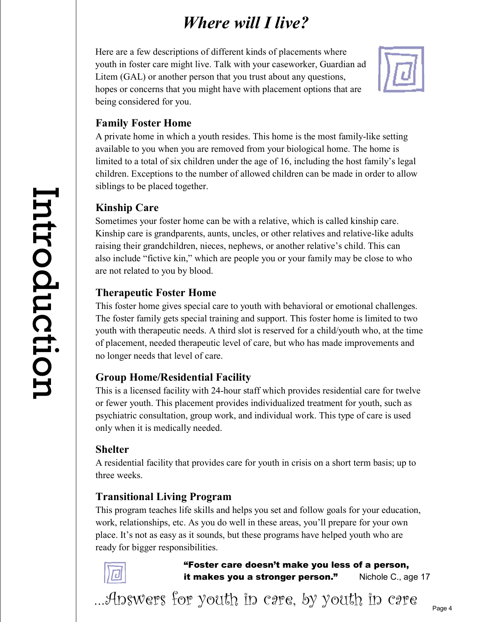# *Where will I live?*

Here are a few descriptions of different kinds of placements where youth in foster care might live. Talk with your caseworker, Guardian ad Litem (GAL) or another person that you trust about any questions, hopes or concerns that you might have with placement options that are being considered for you.



# **Family Foster Home**

A private home in which a youth resides. This home is the most family-like setting available to you when you are removed from your biological home. The home is limited to a total of six children under the age of 16, including the host family's legal children. Exceptions to the number of allowed children can be made in order to allow siblings to be placed together.

# **Kinship Care**

Sometimes your foster home can be with a relative, which is called kinship care. Kinship care is grandparents, aunts, uncles, or other relatives and relative-like adults raising their grandchildren, nieces, nephews, or another relative's child. This can also include "fictive kin," which are people you or your family may be close to who are not related to you by blood.

# **Therapeutic Foster Home**

This foster home gives special care to youth with behavioral or emotional challenges. The foster family gets special training and support. This foster home is limited to two youth with therapeutic needs. A third slot is reserved for a child/youth who, at the time of placement, needed therapeutic level of care, but who has made improvements and no longer needs that level of care.

# **Group Home/Residential Facility**

This is a licensed facility with 24-hour staff which provides residential care for twelve or fewer youth. This placement provides individualized treatment for youth, such as psychiatric consultation, group work, and individual work. This type of care is used only when it is medically needed.

# **Shelter**

A residential facility that provides care for youth in crisis on a short term basis; up to three weeks.

# **Transitional Living Program**

This program teaches life skills and helps you set and follow goals for your education, work, relationships, etc. As you do well in these areas, you'll prepare for your own place. It's not as easy as it sounds, but these programs have helped youth who are ready for bigger responsibilities.



### "Foster care doesn't make you less of a person, it makes you a stronger person." Nichole C., age 17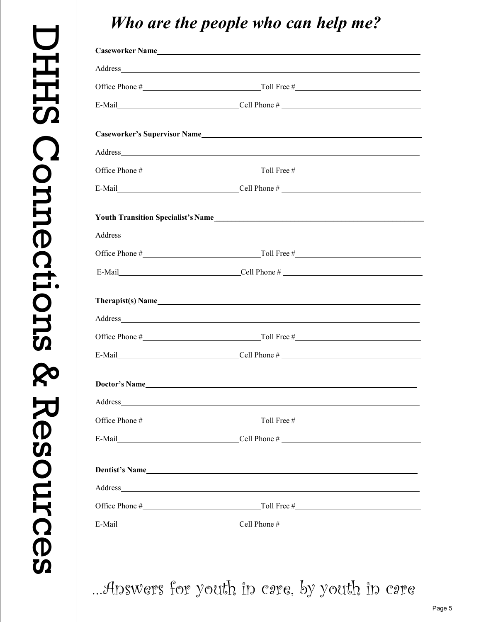# *Who are the people who can help me?*

| E-Mail $\qquad \qquad \qquad \qquad \text{Cell Phone} \#$                                                                                                                                                                      |  |
|--------------------------------------------------------------------------------------------------------------------------------------------------------------------------------------------------------------------------------|--|
|                                                                                                                                                                                                                                |  |
|                                                                                                                                                                                                                                |  |
|                                                                                                                                                                                                                                |  |
| E-Mail $\qquad \qquad \qquad \qquad \text{Cell Phone} \#$                                                                                                                                                                      |  |
| Youth Transition Specialist's Name                                                                                                                                                                                             |  |
|                                                                                                                                                                                                                                |  |
|                                                                                                                                                                                                                                |  |
| E-Mail Cell Phone #                                                                                                                                                                                                            |  |
| Therapist(s) Name and the contract of the contract of the contract of the contract of the contract of the contract of the contract of the contract of the contract of the contract of the contract of the contract of the cont |  |
|                                                                                                                                                                                                                                |  |
|                                                                                                                                                                                                                                |  |
| E-Mail $\qquad \qquad \qquad \qquad \text{Cell Phone} \#$                                                                                                                                                                      |  |
| Doctor's Name                                                                                                                                                                                                                  |  |
|                                                                                                                                                                                                                                |  |
|                                                                                                                                                                                                                                |  |
|                                                                                                                                                                                                                                |  |
| $E-Mail$ $Cell Phone #$                                                                                                                                                                                                        |  |
| Dentist's Name                                                                                                                                                                                                                 |  |
|                                                                                                                                                                                                                                |  |
|                                                                                                                                                                                                                                |  |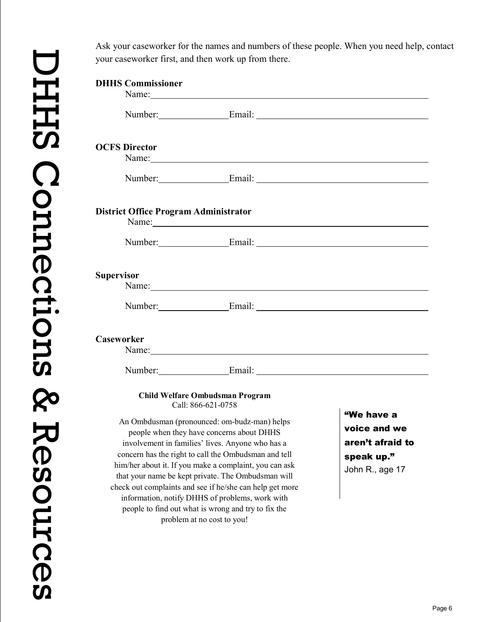Ask your caseworker for the names and numbers of these people. When you need help, contact your caseworker first, and then work up from there.

# **DHHS Commissioner** Name: Number: Email: **OCFS Director** Name: Number: Email: **District Office Program Administrator** Name: Name: Number: Email: **Supervisor** Name: Number: Email: **Caseworker** Name: Number: Email: Email: **Child Welfare Ombudsman Program** Call: 866-621-0758 An Ombdusman (pronounced: om-budz-man) helps people when they have concerns about DHHS "We have a voice and we

involvement in families' lives. Anyone who has a concern has the right to call the Ombudsman and tell him/her about it. If you make a complaint, you can ask that your name be kept private. The Ombudsman will check out complaints and see if he/she can help get more information, notify DHHS of problems, work with people to find out what is wrong and try to fix the problem at no cost to you!

aren't afraid to speak up." John R., age 17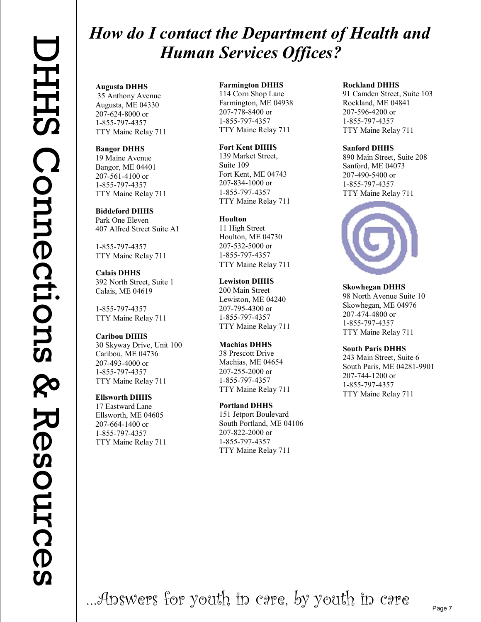# *How do I contact the Department of Health and Human Services Offices?*

### **Augusta DHHS**

35 Anthony Avenue Augusta, ME 04330 207-624-8000 or 1-855-797-4357 TTY Maine Relay 711

**Bangor DHHS** 19 Maine Avenue Bangor, ME 04401 207-561-4100 or 1-855-797-4357

TTY Maine Relay 711

**Biddeford DHHS** Park One Eleven 407 Alfred Street Suite A1

1-855-797-4357 TTY Maine Relay 711

**Calais DHHS** 392 North Street, Suite 1 Calais, ME 04619

1-855-797-4357 TTY Maine Relay 711

**Caribou DHHS** 30 Skyway Drive, Unit 100 Caribou, ME 04736 207-493-4000 or 1-855-797-4357 TTY Maine Relay 711

# **Ellsworth DHHS**

17 Eastward Lane Ellsworth, ME 04605 207-664-1400 or 1-855-797-4357 TTY Maine Relay 711

### **Farmington DHHS**

114 Corn Shop Lane Farmington, ME 04938 207-778-8400 or 1-855-797-4357 TTY Maine Relay 711

**Fort Kent DHHS**  139 Market Street, Suite 109 Fort Kent, ME 04743 207-834-1000 or 1-855-797-4357

TTY Maine Relay 711

**Houlton** 11 High Street Houlton, ME 04730 207-532-5000 or 1-855-797-4357 TTY Maine Relay 711

**Lewiston DHHS** 200 Main Street Lewiston, ME 04240 207-795-4300 or 1-855-797-4357 TTY Maine Relay 711

**Machias DHHS** 38 Prescott Drive Machias, ME 04654 207-255-2000 or 1-855-797-4357 TTY Maine Relay 711

**Portland DHHS** 151 Jetport Boulevard South Portland, ME 04106 207-822-2000 or 1-855-797-4357 TTY Maine Relay 711

### **Rockland DHHS**

91 Camden Street, Suite 103 Rockland, ME 04841 207-596-4200 or 1-855-797-4357 TTY Maine Relay 711

### **Sanford DHHS**

890 Main Street, Suite 208 Sanford, ME 04073 207-490-5400 or 1-855-797-4357 TTY Maine Relay 711



**Skowhegan DHHS** 98 North Avenue Suite 10 Skowhegan, ME 04976 207-474-4800 or 1-855-797-4357 TTY Maine Relay 711

### **South Paris DHHS**

243 Main Street, Suite 6 South Paris, ME 04281-9901 207-744-1200 or 1-855-797-4357 TTY Maine Relay 711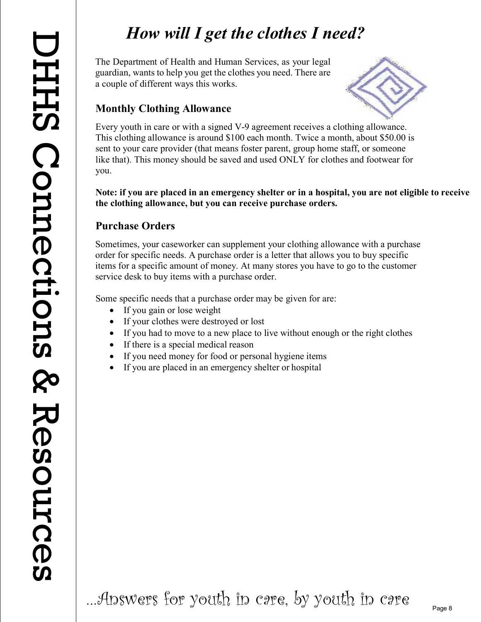# *How will I get the clothes I need?*

The Department of Health and Human Services, as your legal guardian, wants to help you get the clothes you need. There are a couple of different ways this works.

# **Monthly Clothing Allowance**



Every youth in care or with a signed V-9 agreement receives a clothing allowance. This clothing allowance is around \$100 each month. Twice a month, about \$50.00 is sent to your care provider (that means foster parent, group home staff, or someone like that). This money should be saved and used ONLY for clothes and footwear for you.

### **Note: if you are placed in an emergency shelter or in a hospital, you are not eligible to receive the clothing allowance, but you can receive purchase orders.**

# **Purchase Orders**

Sometimes, your caseworker can supplement your clothing allowance with a purchase order for specific needs. A purchase order is a letter that allows you to buy specific items for a specific amount of money. At many stores you have to go to the customer service desk to buy items with a purchase order.

Some specific needs that a purchase order may be given for are:

- If you gain or lose weight
- If your clothes were destroyed or lost
- If you had to move to a new place to live without enough or the right clothes
- If there is a special medical reason
- If you need money for food or personal hygiene items
- If you are placed in an emergency shelter or hospital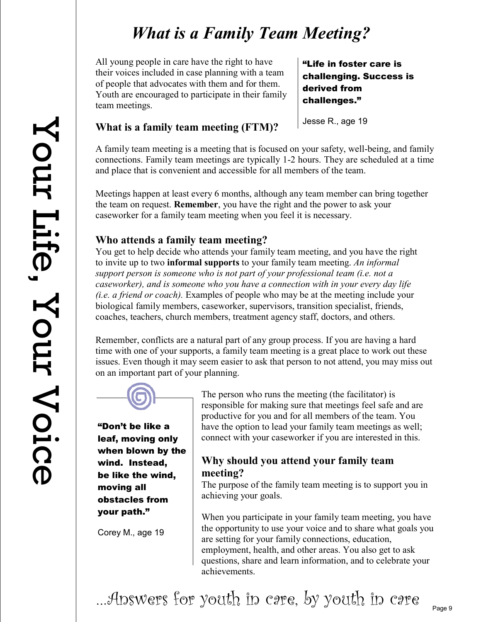# *What is a Family Team Meeting?*

All young people in care have the right to have their voices included in case planning with a team of people that advocates with them and for them. Youth are encouraged to participate in their family team meetings.

# **What is a family team meeting (FTM)?**

"Life in foster care is challenging. Success is derived from challenges."

Jesse R., age 19

A family team meeting is a meeting that is focused on your safety, well-being, and family connections. Family team meetings are typically 1-2 hours. They are scheduled at a time and place that is convenient and accessible for all members of the team.

Meetings happen at least every 6 months, although any team member can bring together the team on request. **Remember**, you have the right and the power to ask your caseworker for a family team meeting when you feel it is necessary.

# **Who attends a family team meeting?**

You get to help decide who attends your family team meeting, and you have the right to invite up to two **informal supports** to your family team meeting. *An informal support person is someone who is not part of your professional team (i.e. not a caseworker), and is someone who you have a connection with in your every day life (i.e. a friend or coach).* Examples of people who may be at the meeting include your biological family members, caseworker, supervisors, transition specialist, friends, coaches, teachers, church members, treatment agency staff, doctors, and others.

Remember, conflicts are a natural part of any group process. If you are having a hard time with one of your supports, a family team meeting is a great place to work out these issues. Even though it may seem easier to ask that person to not attend, you may miss out on an important part of your planning.



"Don't be like a leaf, moving only when blown by the wind. Instead, be like the wind, moving all obstacles from your path."

Corey M., age 19

The person who runs the meeting (the facilitator) is responsible for making sure that meetings feel safe and are productive for you and for all members of the team. You have the option to lead your family team meetings as well; connect with your caseworker if you are interested in this.

# **Why should you attend your family team meeting?**

The purpose of the family team meeting is to support you in achieving your goals.

When you participate in your family team meeting, you have the opportunity to use your voice and to share what goals you are setting for your family connections, education, employment, health, and other areas. You also get to ask questions, share and learn information, and to celebrate your achievements.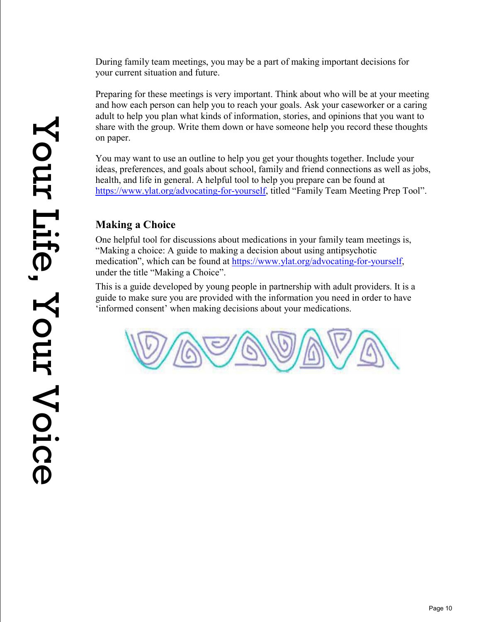During family team meetings, you may be a part of making important decisions for your current situation and future.

Preparing for these meetings is very important. Think about who will be at your meeting and how each person can help you to reach your goals. Ask your caseworker or a caring adult to help you plan what kinds of information, stories, and opinions that you want to share with the group. Write them down or have someone help you record these thoughts on paper.

You may want to use an outline to help you get your thoughts together. Include your ideas, preferences, and goals about school, family and friend connections as well as jobs, health, and life in general. A helpful tool to help you prepare can be found at [https://www.ylat.org/advocating-for-yourself,](https://www.ylat.org/advocating-for-yourself) titled "Family Team Meeting Prep Tool".

# **Making a Choice**

One helpful tool for discussions about medications in your family team meetings is, "Making a choice: A guide to making a decision about using antipsychotic medication", which can be found at [https://www.ylat.org/advocating-for-yourself,](https://www.ylat.org/advocating-for-yourself) under the title "Making a Choice".

This is a guide developed by young people in partnership with adult providers. It is a guide to make sure you are provided with the information you need in order to have 'informed consent' when making decisions about your medications.

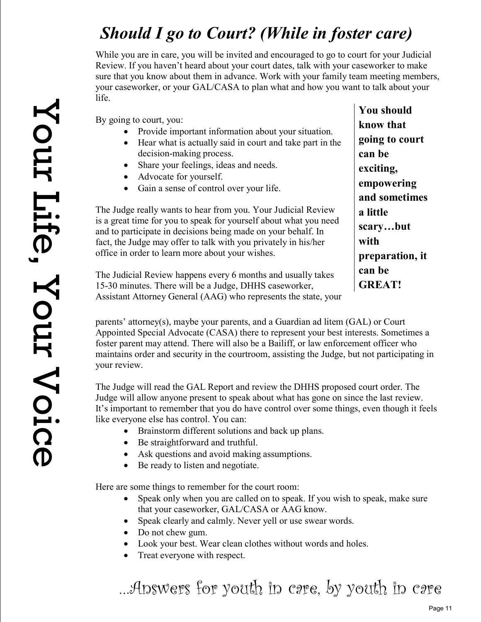# *Should I go to Court? (While in foster care)*

While you are in care, you will be invited and encouraged to go to court for your Judicial Review. If you haven't heard about your court dates, talk with your caseworker to make sure that you know about them in advance. Work with your family team meeting members, your caseworker, or your GAL/CASA to plan what and how you want to talk about your life.

By going to court, you:

- Provide important information about your situation.
- Hear what is actually said in court and take part in the decision-making process.
- Share your feelings, ideas and needs.
- Advocate for yourself.
- Gain a sense of control over your life.

The Judge really wants to hear from you. Your Judicial Review is a great time for you to speak for yourself about what you need and to participate in decisions being made on your behalf. In fact, the Judge may offer to talk with you privately in his/her office in order to learn more about your wishes.

The Judicial Review happens every 6 months and usually takes 15-30 minutes. There will be a Judge, DHHS caseworker, Assistant Attorney General (AAG) who represents the state, your **You should know that going to court can be exciting, empowering and sometimes a little scary…but with preparation, it can be GREAT!**

parents' attorney(s), maybe your parents, and a Guardian ad litem (GAL) or Court Appointed Special Advocate (CASA) there to represent your best interests. Sometimes a foster parent may attend. There will also be a Bailiff, or law enforcement officer who maintains order and security in the courtroom, assisting the Judge, but not participating in your review.

The Judge will read the GAL Report and review the DHHS proposed court order. The Judge will allow anyone present to speak about what has gone on since the last review. It's important to remember that you do have control over some things, even though it feels like everyone else has control. You can:

- Brainstorm different solutions and back up plans.
- Be straightforward and truthful.
- Ask questions and avoid making assumptions.
- Be ready to listen and negotiate.

Here are some things to remember for the court room:

- Speak only when you are called on to speak. If you wish to speak, make sure that your caseworker, GAL/CASA or AAG know.
- Speak clearly and calmly. Never yell or use swear words.
- Do not chew gum.
- Look your best. Wear clean clothes without words and holes.
- Treat everyone with respect.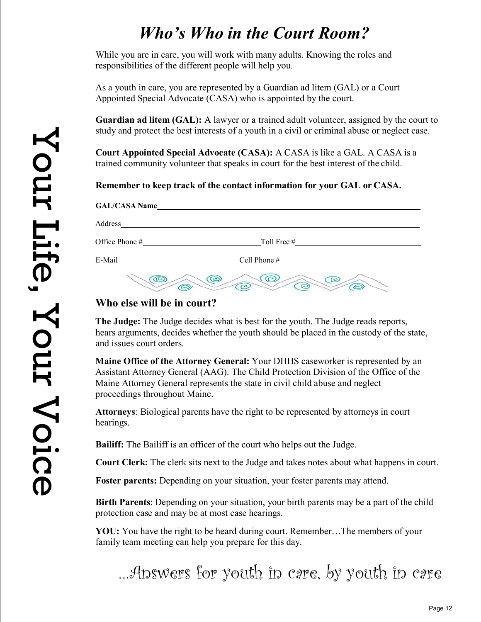# *Who's Who in the Court Room?*

While you are in care, you will work with many adults. Knowing the roles and responsibilities of the different people will help you.

As a youth in care, you are represented by a Guardian ad litem (GAL) or a Court Appointed Special Advocate (CASA) who is appointed by the court.

**Guardian ad litem (GAL):** A lawyer or a trained adult volunteer, assigned by the court to study and protect the best interests of a youth in a civil or criminal abuse or neglect case.

**Court Appointed Special Advocate (CASA):** A CASA is like a GAL. A CASA is a trained community volunteer that speaks in court for the best interest of the child.

**Remember to keep track of the contact information for your GAL or CASA.**

| <b>GAL/CASA Name</b> |                                                                                    |
|----------------------|------------------------------------------------------------------------------------|
| Address              |                                                                                    |
| Office Phone #       | Toll Free #                                                                        |
| E-Mail               | Cell Phone $#$                                                                     |
|                      | $\bf \Omega$<br>$_{\textstyle\odot}$<br>( (၁)<br>$\mathbf\Xi$<br>$\mathbf{C}$<br>ල |

# **Who else will be in court?**

**The Judge:** The Judge decides what is best for the youth. The Judge reads reports, hears arguments, decides whether the youth should be placed in the custody of the state, and issues court orders.

**Maine Office of the Attorney General:** Your DHHS caseworker is represented by an Assistant Attorney General (AAG). The Child Protection Division of the Office of the Maine Attorney General represents the state in civil child abuse and neglect proceedings throughout Maine.

**Attorneys**: Biological parents have the right to be represented by attorneys in court hearings.

**Bailiff:** The Bailiff is an officer of the court who helps out the Judge.

**Court Clerk:** The clerk sits next to the Judge and takes notes about what happens in court.

**Foster parents:** Depending on your situation, your foster parents may attend.

**Birth Parents**: Depending on your situation, your birth parents may be a part of the child protection case and may be at most case hearings.

**YOU:** You have the right to be heard during court. Remember…The members of your family team meeting can help you prepare for this day.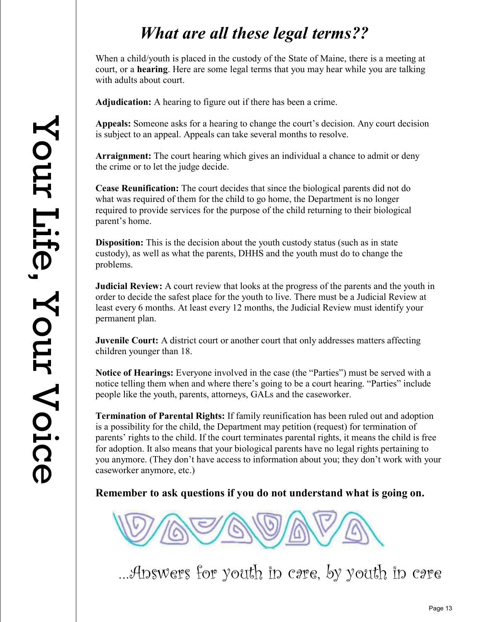# *What are all these legal terms??*

When a child/youth is placed in the custody of the State of Maine, there is a meeting at court, or a **hearing**. Here are some legal terms that you may hear while you are talking with adults about court.

**Adjudication:** A hearing to figure out if there has been a crime.

**Appeals:** Someone asks for a hearing to change the court's decision. Any court decision is subject to an appeal. Appeals can take several months to resolve.

**Arraignment:** The court hearing which gives an individual a chance to admit or deny the crime or to let the judge decide.

**Cease Reunification:** The court decides that since the biological parents did not do what was required of them for the child to go home, the Department is no longer required to provide services for the purpose of the child returning to their biological parent's home.

**Disposition:** This is the decision about the youth custody status (such as in state custody), as well as what the parents, DHHS and the youth must do to change the problems.

**Judicial Review:** A court review that looks at the progress of the parents and the youth in order to decide the safest place for the youth to live. There must be a Judicial Review at least every 6 months. At least every 12 months, the Judicial Review must identify your permanent plan.

**Juvenile Court:** A district court or another court that only addresses matters affecting children younger than 18.

**Notice of Hearings:** Everyone involved in the case (the "Parties") must be served with a notice telling them when and where there's going to be a court hearing. "Parties" include people like the youth, parents, attorneys, GALs and the caseworker.

**Termination of Parental Rights:** If family reunification has been ruled out and adoption is a possibility for the child, the Department may petition (request) for termination of parents' rights to the child. If the court terminates parental rights, it means the child is free for adoption. It also means that your biological parents have no legal rights pertaining to you anymore. (They don't have access to information about you; they don't work with your caseworker anymore, etc.)

**Remember to ask questions if you do not understand what is going on.**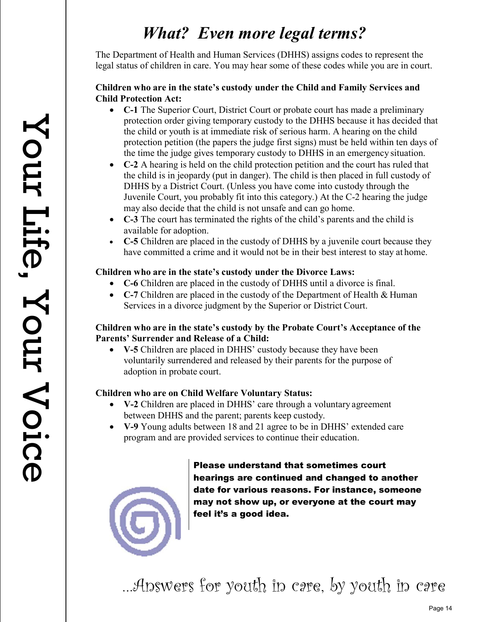# *What? Even more legal terms?*

The Department of Health and Human Services (DHHS) assigns codes to represent the legal status of children in care. You may hear some of these codes while you are in court.

# **Children who are in the state's custody under the Child and Family Services and Child Protection Act:**

- **C-1** The Superior Court, District Court or probate court has made a preliminary protection order giving temporary custody to the DHHS because it has decided that the child or youth is at immediate risk of serious harm. A hearing on the child protection petition (the papers the judge first signs) must be held within ten days of the time the judge gives temporary custody to DHHS in an emergency situation.
- **C-2** A hearing is held on the child protection petition and the court has ruled that the child is in jeopardy (put in danger). The child is then placed in full custody of DHHS by a District Court. (Unless you have come into custody through the Juvenile Court, you probably fit into this category.) At the C-2 hearing the judge may also decide that the child is not unsafe and can go home.
- **C-3** The court has terminated the rights of the child's parents and the child is available for adoption.
- **C-5** Children are placed in the custody of DHHS by a juvenile court because they have committed a crime and it would not be in their best interest to stay at home.

# **Children who are in the state's custody under the Divorce Laws:**

- **C-6** Children are placed in the custody of DHHS until a divorce is final.
- **C-7** Children are placed in the custody of the Department of Health & Human Services in a divorce judgment by the Superior or District Court.

# **Children who are in the state's custody by the Probate Court's Acceptance of the Parents' Surrender and Release of a Child:**

• **V-5** Children are placed in DHHS' custody because they have been voluntarily surrendered and released by their parents for the purpose of adoption in probate court.

# **Children who are on Child Welfare Voluntary Status:**

- **V-2** Children are placed in DHHS' care through a voluntary agreement between DHHS and the parent; parents keep custody.
- **V-9** Young adults between 18 and 21 agree to be in DHHS' extended care program and are provided services to continue their education.



Please understand that sometimes court hearings are continued and changed to another date for various reasons. For instance, someone may not show up, or everyone at the court may feel it's a good idea.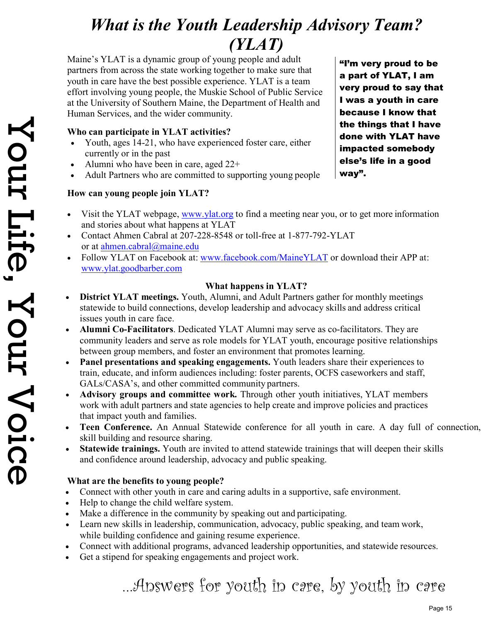# *What is the Youth Leadership Advisory Team? (YLAT)*

Maine's YLAT is a dynamic group of young people and adult partners from across the state working together to make sure that youth in care have the best possible experience. YLAT is a team effort involving young people, the Muskie School of Public Service at the University of Southern Maine, the Department of Health and Human Services, and the wider community.

### **Who can participate in YLAT activities?**

- Youth, ages 14-21, who have experienced foster care, either currently or in the past
- Alumni who have been in care, aged 22+
- Adult Partners who are committed to supporting young people

### **How can young people join YLAT?**

- Visit the YLAT webpage, [www.ylat.org](http://www.ylat.org/) to find a meeting near you, or to get more information and stories about what happens at YLAT
- Contact Ahmen Cabral at 207-228-8548 or toll-free at 1-877-792-YLAT or at [ahmen.cabral@maine.edu](mailto:ahmen.cabral@maine.edu)
- Follow YLAT on Facebook at: [www.facebook.com/MaineYLAT](http://www.facebook.com/MaineYLAT) or download their APP at: [www.ylat.goodbarber.com](file://fs05.ad.usm.maine.edu/data5/MSPS/common/Cutler/CYF/YLAT%202019-2021/ANSWERS%20Handbook/www.ylat.goodbarber.com)

### **What happens in YLAT?**

- **District YLAT meetings.** Youth, Alumni, and Adult Partners gather for monthly meetings statewide to build connections, develop leadership and advocacy skills and address critical issues youth in care face.
- **Alumni Co-Facilitators**. Dedicated YLAT Alumni may serve as co-facilitators. They are community leaders and serve as role models for YLAT youth, encourage positive relationships between group members, and foster an environment that promotes learning.
- **Panel presentations and speaking engagements.** Youth leaders share their experiences to train, educate, and inform audiences including: foster parents, OCFS caseworkers and staff, GALs/CASA's, and other committed community partners.
- **Advisory groups and committee work.** Through other youth initiatives, YLAT members work with adult partners and state agencies to help create and improve policies and practices that impact youth and families.
- **Teen Conference.** An Annual Statewide conference for all youth in care. A day full of connection, skill building and resource sharing.
- **Statewide trainings.** Youth are invited to attend statewide trainings that will deepen their skills and confidence around leadership, advocacy and public speaking.

# **What are the benefits to young people?**

- Connect with other youth in care and caring adults in a supportive, safe environment.
- Help to change the child welfare system.
- Make a difference in the community by speaking out and participating.
- Learn new skills in leadership, communication, advocacy, public speaking, and team work, while building confidence and gaining resume experience.
- Connect with additional programs, advanced leadership opportunities, and statewide resources.
- Get a stipend for speaking engagements and project work.

# …Answers for youth in care, by youth in care

"I'm very proud to be a part of YLAT, I am very proud to say that I was a youth in care because I know that the things that I have done with YLAT have impacted somebody else's life in a good way".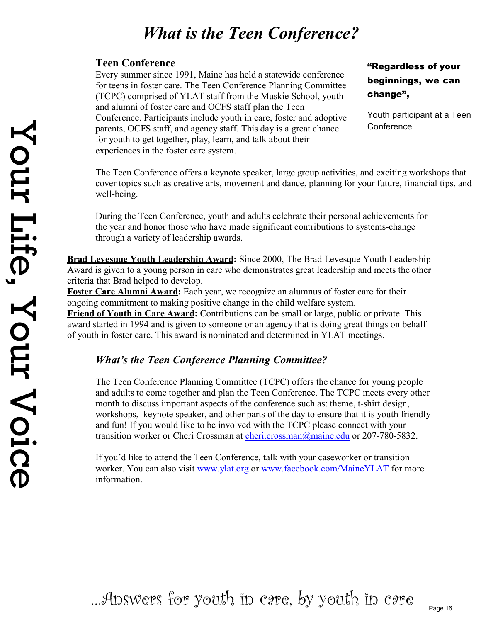# *What is the Teen Conference?*

### **Teen Conference**

Every summer since 1991, Maine has held a statewide conference for teens in foster care. The Teen Conference Planning Committee (TCPC) comprised of YLAT staff from the Muskie School, youth and alumni of foster care and OCFS staff plan the Teen Conference. Participants include youth in care, foster and adoptive parents, OCFS staff, and agency staff. This day is a great chance for youth to get together, play, learn, and talk about their experiences in the foster care system.

# "Regardless of your beginnings, we can change",

Youth participant at a Teen **Conference** 

The Teen Conference offers a keynote speaker, large group activities, and exciting workshops that cover topics such as creative arts, movement and dance, planning for your future, financial tips, and well-being.

During the Teen Conference, youth and adults celebrate their personal achievements for the year and honor those who have made significant contributions to systems-change through a variety of leadership awards.

**Brad Levesque Youth Leadership Award:** Since 2000, The Brad Levesque Youth Leadership Award is given to a young person in care who demonstrates great leadership and meets the other criteria that Brad helped to develop.

**Foster Care Alumni Award:** Each year, we recognize an alumnus of foster care for their ongoing commitment to making positive change in the child welfare system.

**Friend of Youth in Care Award:** Contributions can be small or large, public or private. This award started in 1994 and is given to someone or an agency that is doing great things on behalf of youth in foster care. This award is nominated and determined in YLAT meetings.

# *What's the Teen Conference Planning Committee?*

The Teen Conference Planning Committee (TCPC) offers the chance for young people and adults to come together and plan the Teen Conference. The TCPC meets every other month to discuss important aspects of the conference such as: theme, t-shirt design, workshops, keynote speaker, and other parts of the day to ensure that it is youth friendly and fun! If you would like to be involved with the TCPC please connect with your transition worker or Cheri Crossman at [cheri.crossman@maine.edu](mailto:shannon.saxby@maine.edu) or 207-780-5832.

If you'd like to attend the Teen Conference, talk with your caseworker or transition worker. You can also visit [www.ylat.org](http://www.ylat.org/) or [www.facebook.com/MaineYLAT](http://www.facebook.com/MaineYLAT) for more information.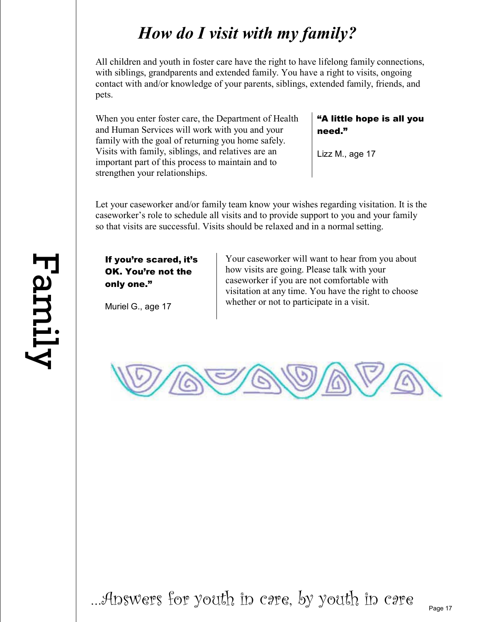# *How do I visit with my family?*

All children and youth in foster care have the right to have lifelong family connections, with siblings, grandparents and extended family. You have a right to visits, ongoing contact with and/or knowledge of your parents, siblings, extended family, friends, and pets.

When you enter foster care, the Department of Health and Human Services will work with you and your family with the goal of returning you home safely. Visits with family, siblings, and relatives are an important part of this process to maintain and to strengthen your relationships.

# "A little hope is all you need."

Lizz M., age 17

Let your caseworker and/or family team know your wishes regarding visitation. It is the caseworker's role to schedule all visits and to provide support to you and your family so that visits are successful. Visits should be relaxed and in a normal setting.

# Family

If you're scared, it's OK. You're not the only one."

Muriel G., age 17

Your caseworker will want to hear from you about how visits are going. Please talk with your caseworker if you are not comfortable with visitation at any time. You have the right to choose whether or not to participate in a visit.

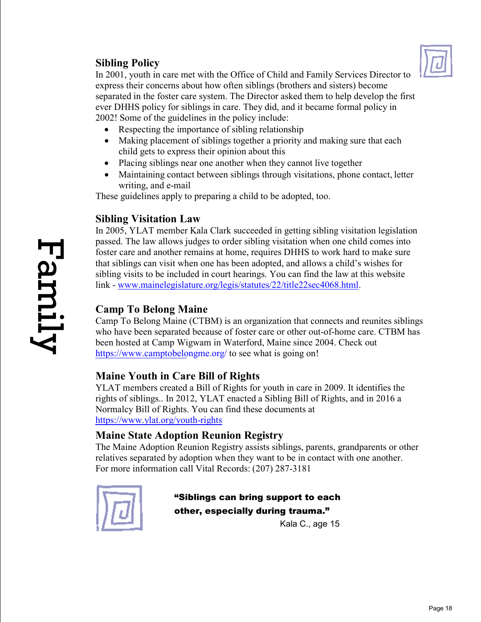# **Sibling Policy**



In 2001, youth in care met with the Office of Child and Family Services Director to express their concerns about how often siblings (brothers and sisters) become separated in the foster care system. The Director asked them to help develop the first ever DHHS policy for siblings in care. They did, and it became formal policy in 2002! Some of the guidelines in the policy include:

- Respecting the importance of sibling relationship
- Making placement of siblings together a priority and making sure that each child gets to express their opinion about this
- Placing siblings near one another when they cannot live together
- Maintaining contact between siblings through visitations, phone contact, letter writing, and e-mail

These guidelines apply to preparing a child to be adopted, too.

# **Sibling Visitation Law**

In 2005, YLAT member Kala Clark succeeded in getting sibling visitation legislation passed. The law allows judges to order sibling visitation when one child comes into foster care and another remains at home, requires DHHS to work hard to make sure that siblings can visit when one has been adopted, and allows a child's wishes for sibling visits to be included in court hearings. You can find the law at this website link - [www.mainelegislature.org/legis/statutes/22/title22sec4068.html.](http://www.mainelegislature.org/legis/statutes/22/title22sec4068.html)

# **Camp To Belong Maine**

Camp To Belong Maine (CTBM) is an organization that connects and reunites siblings who have been separated because of foster care or other out-of-home care. CTBM has been hosted at Camp Wigwam in Waterford, Maine since 2004. Check out <https://www.camptobelongme.org/> to see what is going on!

# **Maine Youth in Care Bill of Rights**

YLAT members created a Bill of Rights for youth in care in 2009. It identifies the rights of siblings.. In 2012, YLAT enacted a Sibling Bill of Rights, and in 2016 a Normalcy Bill of Rights. You can find these documents at <https://www.ylat.org/youth-rights>

# **Maine State Adoption Reunion Registry**

The Maine Adoption Reunion Registry assists siblings, parents, grandparents or other relatives separated by adoption when they want to be in contact with one another. For more information call Vital Records: (207) 287-3181



"Siblings can bring support to each other, especially during trauma."

Kala C., age 15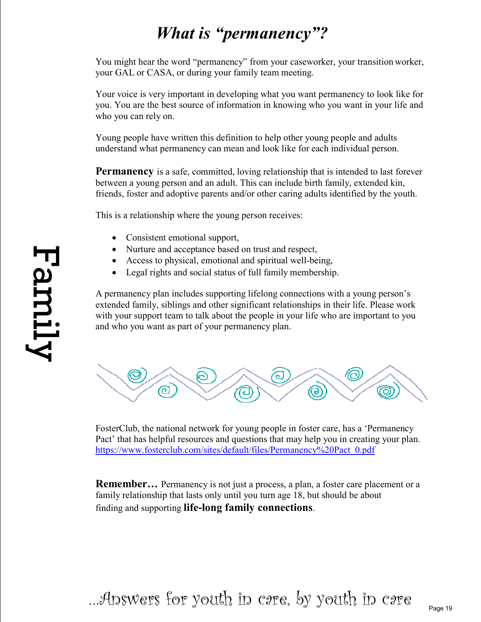# *What is "permanency"?*

You might hear the word "permanency" from your caseworker, your transition worker, your GAL or CASA, or during your family team meeting.

Your voice is very important in developing what you want permanency to look like for you. You are the best source of information in knowing who you want in your life and who you can rely on.

Young people have written this definition to help other young people and adults understand what permanency can mean and look like for each individual person.

**Permanency** is a safe, committed, loving relationship that is intended to last forever between a young person and an adult. This can include birth family, extended kin, friends, foster and adoptive parents and/or other caring adults identified by the youth.

This is a relationship where the young person receives:

- Consistent emotional support,
- Nurture and acceptance based on trust and respect,
- Access to physical, emotional and spiritual well-being,
- Legal rights and social status of full family membership.

A permanency plan includes supporting lifelong connections with a young person's extended family, siblings and other significant relationships in their life. Please work with your support team to talk about the people in your life who are important to you and who you want as part of your permanency plan.



FosterClub, the national network for young people in foster care, has a 'Permanency Pact' that has helpful resources and questions that may help you in creating your plan. [https://www.fosterclub.com/sites/default/files/Permanency%20Pact\\_0.pdf](https://www.fosterclub.com/sites/default/files/Permanency%20Pact_0.pdf)

**Remember...** Permanency is not just a process, a plan, a foster care placement or a family relationship that lasts only until you turn age 18, but should be about finding and supporting **life-long family connections**.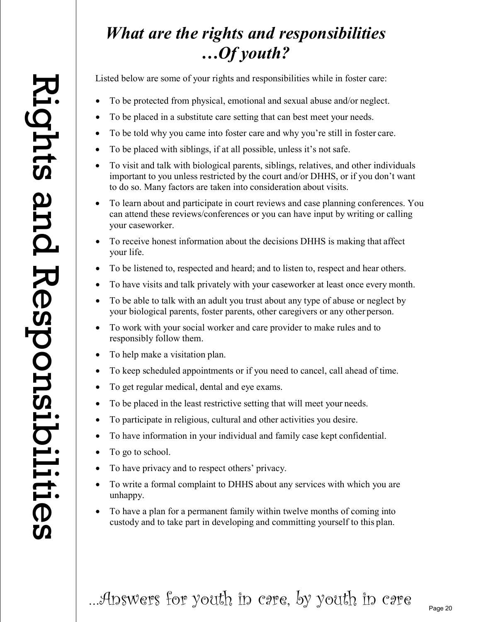# *What are the rights and responsibilities …Of youth?*

Listed below are some of your rights and responsibilities while in foster care:

- To be protected from physical, emotional and sexual abuse and/or neglect.
- To be placed in a substitute care setting that can best meet your needs.
- To be told why you came into foster care and why you're still in foster care.
- To be placed with siblings, if at all possible, unless it's not safe.
- To visit and talk with biological parents, siblings, relatives, and other individuals important to you unless restricted by the court and/or DHHS, or if you don't want to do so. Many factors are taken into consideration about visits.
- To learn about and participate in court reviews and case planning conferences. You can attend these reviews/conferences or you can have input by writing or calling your caseworker.
- To receive honest information about the decisions DHHS is making that affect your life.
- To be listened to, respected and heard; and to listen to, respect and hear others.
- To have visits and talk privately with your caseworker at least once every month.
- To be able to talk with an adult you trust about any type of abuse or neglect by your biological parents, foster parents, other caregivers or any other person.
- To work with your social worker and care provider to make rules and to responsibly follow them.
- To help make a visitation plan.
- To keep scheduled appointments or if you need to cancel, call ahead of time.
- To get regular medical, dental and eye exams.
- To be placed in the least restrictive setting that will meet your needs.
- To participate in religious, cultural and other activities you desire.
- To have information in your individual and family case kept confidential.
- To go to school.
- To have privacy and to respect others' privacy.
- To write a formal complaint to DHHS about any services with which you are unhappy.
- To have a plan for a permanent family within twelve months of coming into custody and to take part in developing and committing yourself to this plan.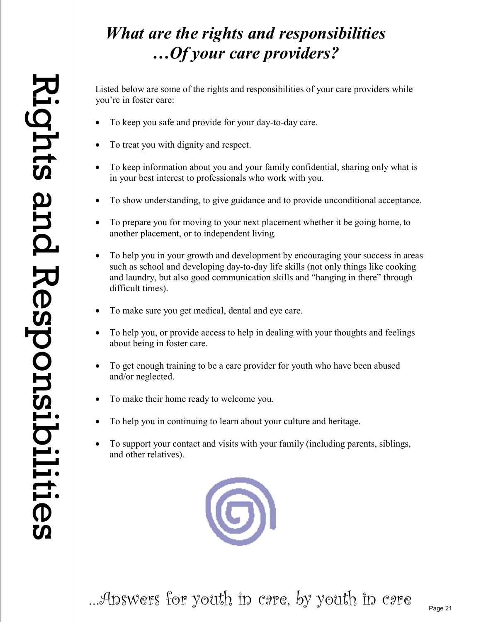# *What are the rights and responsibilities …Of your care providers?*

Listed below are some of the rights and responsibilities of your care providers while you're in foster care:

- To keep you safe and provide for your day-to-day care.
- To treat you with dignity and respect.
- To keep information about you and your family confidential, sharing only what is in your best interest to professionals who work with you.
- To show understanding, to give guidance and to provide unconditional acceptance.
- To prepare you for moving to your next placement whether it be going home, to another placement, or to independent living.
- To help you in your growth and development by encouraging your success in areas such as school and developing day-to-day life skills (not only things like cooking and laundry, but also good communication skills and "hanging in there" through difficult times).
- To make sure you get medical, dental and eye care.

Rights and Responsibilities

 $\mathbf 0$ 

Rights and Responsibiliti

- To help you, or provide access to help in dealing with your thoughts and feelings about being in foster care.
- To get enough training to be a care provider for youth who have been abused and/or neglected.
- To make their home ready to welcome you.
- To help you in continuing to learn about your culture and heritage.
- To support your contact and visits with your family (including parents, siblings, and other relatives).

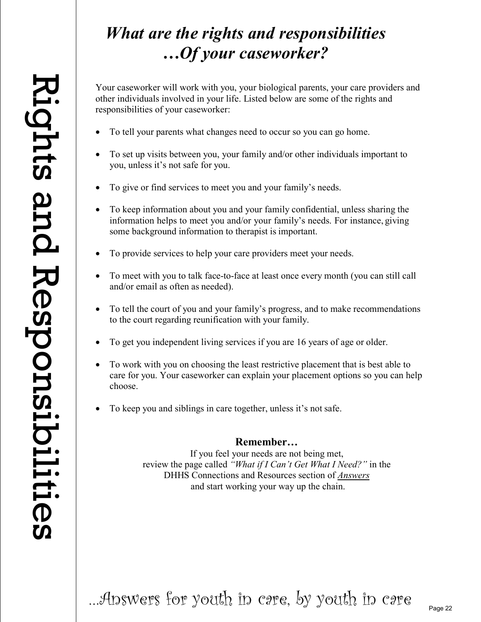# *What are the rights and responsibilities …Of your caseworker?*

Your caseworker will work with you, your biological parents, your care providers and other individuals involved in your life. Listed below are some of the rights and responsibilities of your caseworker:

- To tell your parents what changes need to occur so you can go home.
- To set up visits between you, your family and/or other individuals important to you, unless it's not safe for you.
- To give or find services to meet you and your family's needs.
- To keep information about you and your family confidential, unless sharing the information helps to meet you and/or your family's needs. For instance, giving some background information to therapist is important.
- To provide services to help your care providers meet your needs.
- To meet with you to talk face-to-face at least once every month (you can still call and/or email as often as needed).
- To tell the court of you and your family's progress, and to make recommendations to the court regarding reunification with your family.
- To get you independent living services if you are 16 years of age or older.
- To work with you on choosing the least restrictive placement that is best able to care for you. Your caseworker can explain your placement options so you can help choose.
- To keep you and siblings in care together, unless it's not safe.

# **Remember…**

If you feel your needs are not being met, review the page called *"What if I Can't Get What I Need?"* in the DHHS Connections and Resources section of *Answers* and start working your way up the chain.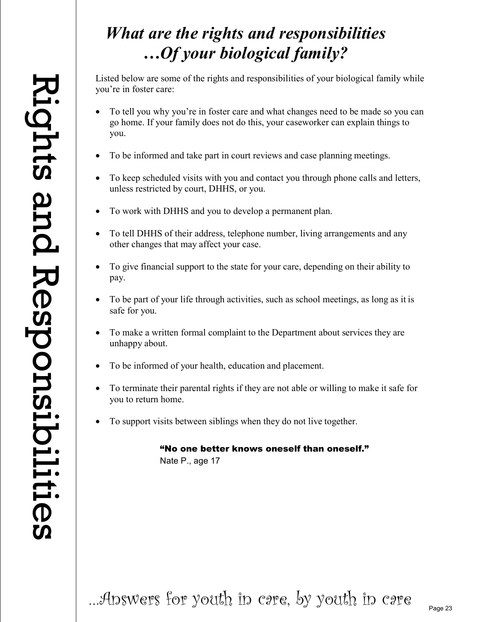# *What are the rights and responsibilities …Of your biological family?*

Listed below are some of the rights and responsibilities of your biological family while you're in foster care:

- To tell you why you're in foster care and what changes need to be made so you can go home. If your family does not do this, your caseworker can explain things to you.
- To be informed and take part in court reviews and case planning meetings.
- To keep scheduled visits with you and contact you through phone calls and letters, unless restricted by court, DHHS, or you.
- To work with DHHS and you to develop a permanent plan.
- To tell DHHS of their address, telephone number, living arrangements and any other changes that may affect your case.
- To give financial support to the state for your care, depending on their ability to pay.
- To be part of your life through activities, such as school meetings, as long as it is safe for you.
- To make a written formal complaint to the Department about services they are unhappy about.
- To be informed of your health, education and placement.
- To terminate their parental rights if they are not able or willing to make it safe for you to return home.
- To support visits between siblings when they do not live together.

"No one better knows oneself than oneself." Nate P., age 17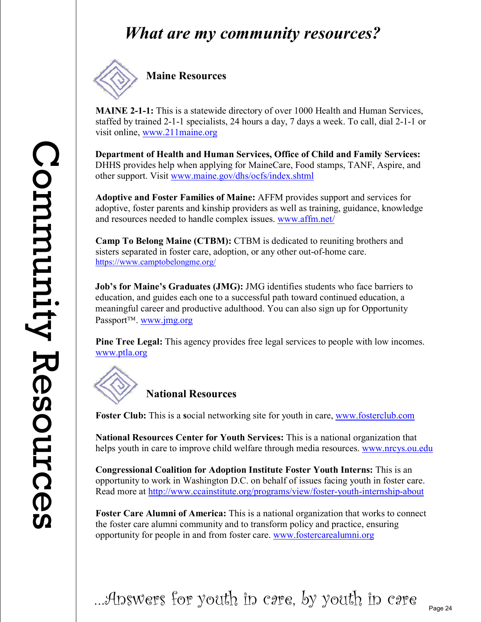# *What are my community resources?*



**MAINE 2-1-1:** This is a statewide directory of over 1000 Health and Human Services, staffed by trained 2-1-1 specialists, 24 hours a day, 7 days a week. To call, dial 2-1-1 or visit online, [www.211maine.org](http://www.211maine.org/)

**Department of Health and Human Services, Office of Child and Family Services:**  DHHS provides help when applying for MaineCare, Food stamps, TANF, Aspire, and other support. Visit [www.maine.gov/dhs/ocfs/index.shtml](http://www.maine.gov/dhs/ocfs/index.shtml)

**Adoptive and Foster Families of Maine:** AFFM provides support and services for adoptive, foster parents and kinship providers as well as training, guidance, knowledge and resources needed to handle complex issues. [www.affm.net/](https://www.affm.net/)

**Camp To Belong Maine (CTBM):** CTBM is dedicated to reuniting brothers and sisters separated in foster care, adoption, or any other out-of-home care. <https://www.camptobelongme.org/>

**Job's for Maine's Graduates (JMG):** JMG identifies students who face barriers to education, and guides each one to a successful path toward continued education, a meaningful career and productive adulthood. You can also sign up for Opportunity Passport<sup>TM</sup>. [www.jmg.org](http://www.jmg.org/)

**Pine Tree Legal:** This agency provides free legal services to people with low incomes. [www.ptla.org](http://www.ptla.org/)



# **National Resources**

**Foster Club:** This is a **s**ocial networking site for youth in care, [www.fosterclub.com](http://www.fosterclub.com/)

**National Resources Center for Youth Services:** This is a national organization that helps youth in care to improve child welfare through media resources. [www.nrcys.ou.edu](http://www.nrcys.ou.edu/)

**Congressional Coalition for Adoption Institute Foster Youth Interns:** This is an opportunity to work in Washington D.C. on behalf of issues facing youth in foster care. Read more at<http://www.ccainstitute.org/programs/view/foster-youth-internship-about>

**Foster Care Alumni of America:** This is a national organization that works to connect the foster care alumni community and to transform policy and practice, ensuring opportunity for people in and from foster care. [www.fostercarealumni.org](http://www.fostercarealumni.org/)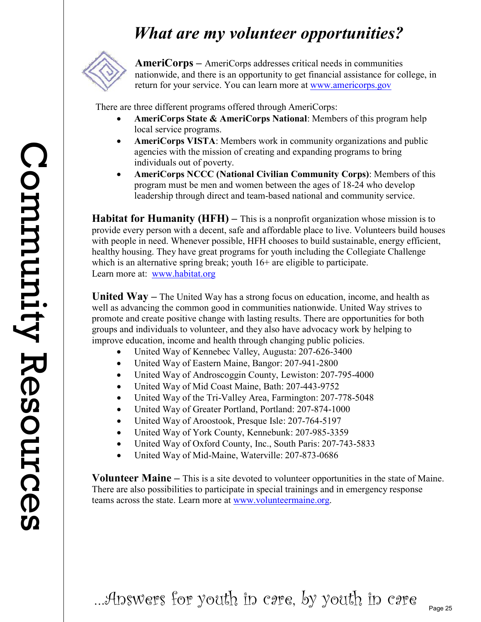# *What are my volunteer opportunities?*



**AmeriCorps –** AmeriCorps addresses critical needs in communities nationwide, and there is an opportunity to get financial assistance for college, in return for your service. You can learn more at [www.americorps.gov](http://www.americorps.gov/)

There are three different programs offered through AmeriCorps:

- **AmeriCorps State & AmeriCorps National**: Members of this program help local service programs.
- **AmeriCorps VISTA**: Members work in community organizations and public agencies with the mission of creating and expanding programs to bring individuals out of poverty.
- **AmeriCorps NCCC (National Civilian Community Corps)**: Members of this program must be men and women between the ages of 18-24 who develop leadership through direct and team-based national and community service.

**Habitat for Humanity (HFH)** – This is a nonprofit organization whose mission is to provide every person with a decent, safe and affordable place to live. Volunteers build houses with people in need. Whenever possible, HFH chooses to build sustainable, energy efficient, healthy housing. They have great programs for youth including the Collegiate Challenge which is an alternative spring break; youth  $16+$  are eligible to participate. Learn more at: [www.habitat.org](http://www.habitat.org/)

**United Way –** The United Way has a strong focus on education, income, and health as well as advancing the common good in communities nationwide. United Way strives to promote and create positive change with lasting results. There are opportunities for both groups and individuals to volunteer, and they also have advocacy work by helping to improve education, income and health through changing public policies.

- United Way of Kennebec Valley, Augusta: 207-626-3400
- United Way of Eastern Maine, Bangor: 207-941-2800
- United Way of Androscoggin County, Lewiston: 207-795-4000
- United Way of Mid Coast Maine, Bath: 207-443-9752
- United Way of the Tri-Valley Area, Farmington: 207-778-5048
- United Way of Greater Portland, Portland: 207-874-1000
- United Way of Aroostook, Presque Isle: 207-764-5197
- United Way of York County, Kennebunk: 207-985-3359
- United Way of Oxford County, Inc., South Paris: 207-743-5833
- United Way of Mid-Maine, Waterville: 207-873-0686

**Volunteer Maine –** This is a site devoted to volunteer opportunities in the state of Maine. There are also possibilities to participate in special trainings and in emergency response teams across the state. Learn more at [www.volunteermaine.org.](http://www.volunteermaine.org/)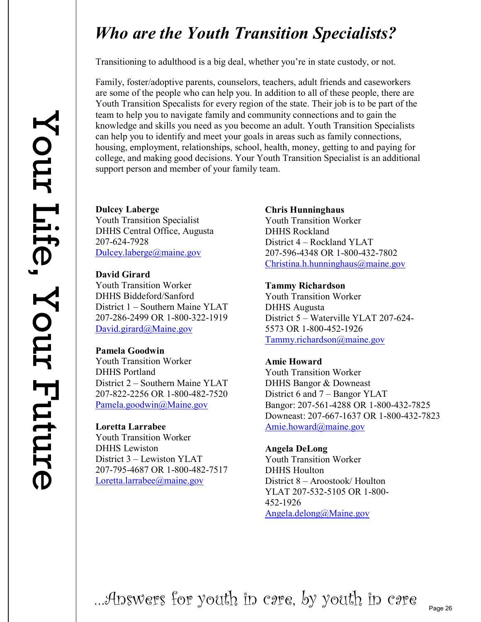# *Who are the Youth Transition Specialists?*

Transitioning to adulthood is a big deal, whether you're in state custody, or not.

Family, foster/adoptive parents, counselors, teachers, adult friends and caseworkers are some of the people who can help you. In addition to all of these people, there are Youth Transition Specalists for every region of the state. Their job is to be part of the team to help you to navigate family and community connections and to gain the knowledge and skills you need as you become an adult. Youth Transition Specialists can help you to identify and meet your goals in areas such as family connections, housing, employment, relationships, school, health, money, getting to and paying for college, and making good decisions. Your Youth Transition Specialist is an additional support person and member of your family team.

**Dulcey Laberge**

Youth Transition Specialist DHHS Central Office, Augusta 207-624-7928 [Dulcey.laberge@maine.gov](mailto:Dulcey.laberge@maine.gov)

### **David Girard**

Youth Transition Worker DHHS Biddeford/Sanford District 1 – Southern Maine YLAT 207-286-2499 OR 1-800-322-1919 [David.girard@Maine.gov](mailto:David.girard@Maine.gov)

### **Pamela Goodwin**

Youth Transition Worker DHHS Portland District 2 – Southern Maine YLAT 207-822-2256 OR 1-800-482-7520 [Pamela.goodwin@Maine.gov](mailto:Pamela.goodwin@Maine.gov)

### **Loretta Larrabee**

Youth Transition Worker DHHS Lewiston District 3 – Lewiston YLAT 207-795-4687 OR 1-800-482-7517 [Loretta.larrabee@maine.gov](mailto:Loretta.larrabee@maine.gov)

### **Chris Hunninghaus**

Youth Transition Worker DHHS Rockland District 4 – Rockland YLAT 207-596-4348 OR 1-800-432-7802 [Christina.h.hunninghaus@maine.gov](mailto:Christina.h.hunninghaus@maine.gov)

### **Tammy Richardson**

Youth Transition Worker DHHS Augusta District 5 – Waterville YLAT 207-624- 5573 OR 1-800-452-1926 [Tammy.richardson@maine.gov](mailto:Tammy.richardson@maine.gov)

# **Amie Howard**

Youth Transition Worker DHHS Bangor & Downeast District 6 and 7 – Bangor YLAT Bangor: 207-561-4288 OR 1-800-432-7825 Downeast: 207-667-1637 OR 1-800-432-7823 [Amie.howard@maine.gov](mailto:Amie.howard@maine.gov)

# **Angela DeLong**

Youth Transition Worker DHHS Houlton District 8 – Aroostook/ Houlton YLAT 207-532-5105 OR 1-800- 452-1926 [Angela.delong@Maine.gov](mailto:Angela.delong@Maine.gov)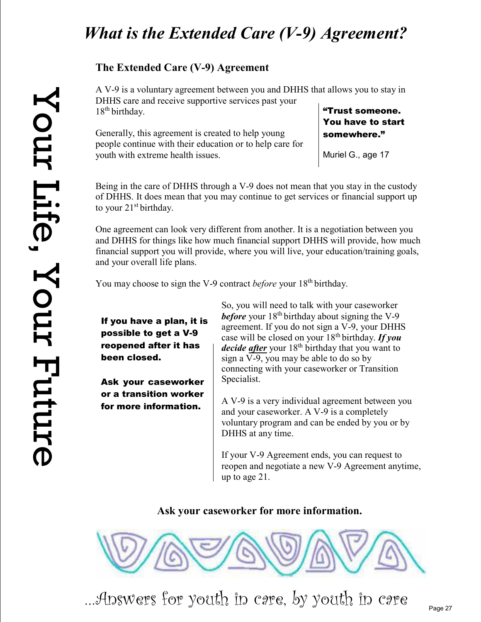# *What is the Extended Care (V-9) Agreement?*

# **The Extended Care (V-9) Agreement**

A V-9 is a voluntary agreement between you and DHHS that allows you to stay in DHHS care and receive supportive services past your  $18<sup>th</sup>$  birthday.

Generally, this agreement is created to help young people continue with their education or to help care for youth with extreme health issues.

"Trust someone. You have to start somewhere."

Muriel G., age 17

Being in the care of DHHS through a V-9 does not mean that you stay in the custody of DHHS. It does mean that you may continue to get services or financial support up to your  $21<sup>st</sup>$  birthday.

One agreement can look very different from another. It is a negotiation between you and DHHS for things like how much financial support DHHS will provide, how much financial support you will provide, where you will live, your education/training goals, and your overall life plans.

You may choose to sign the V-9 contract *before* your 18<sup>th</sup> birthday.

If you have a plan, it is possible to get a V-9 reopened after it has been closed.

Ask your caseworker or a transition worker for more information.

So, you will need to talk with your caseworker *before* your 18<sup>th</sup> birthday about signing the V-9 agreement. If you do not sign a V-9, your DHHS case will be closed on your 18th birthday. *If you decide after* your 18<sup>th</sup> birthday that you want to sign a V-9, you may be able to do so by connecting with your caseworker or Transition Specialist.

A V-9 is a very individual agreement between you and your caseworker. A V-9 is a completely voluntary program and can be ended by you or by DHHS at any time.

If your V-9 Agreement ends, you can request to reopen and negotiate a new V-9 Agreement anytime, up to age 21.

# **Ask your caseworker for more information.**

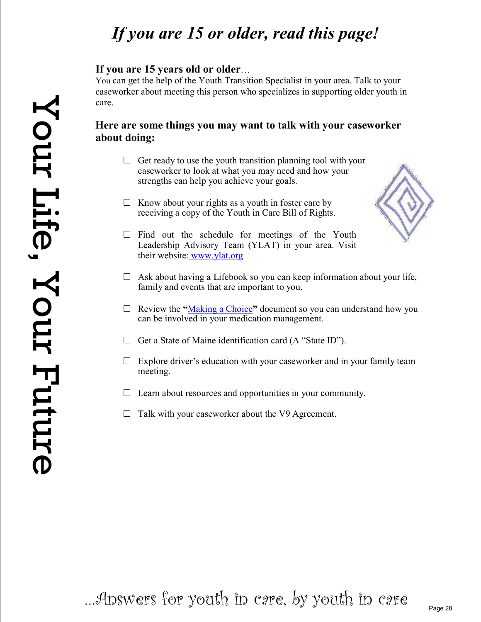# *If you are 15 or older, read this page!*

# **If you are 15 years old or older**…

You can get the help of the Youth Transition Specialist in your area. Talk to your caseworker about meeting this person who specializes in supporting older youth in care.

# **Here are some things you may want to talk with your caseworker about doing:**

- $\Box$  Get ready to use the youth transition planning tool with your caseworker to look at what you may need and how your strengths can help you achieve your goals.
- $\Box$  Know about your rights as a youth in foster care by receiving a copy of the Youth in Care Bill of Rights.



- $\Box$  Find out the schedule for meetings of the Youth Leadership Advisory Team (YLAT) in your area. Visit their website: [www.ylat.org](http://www.ylat.org/)
- $\Box$  Ask about having a Lifebook so you can keep information about your life, family and events that are important to you.
- □ Review the **"**[Making a Choice](https://c0813ee5-b9d5-416c-a232-bb13f6f6a54b.filesusr.com/ugd/367d17_63649ec169f548f7aaa636a4d34a027c.pdf)**"** document so you can understand how you can be involved in your medication management.
- $\Box$  Get a State of Maine identification card (A "State ID").
- $\Box$  Explore driver's education with your caseworker and in your family team meeting.
- $\Box$  Learn about resources and opportunities in your community.
- $\Box$  Talk with your caseworker about the V9 Agreement.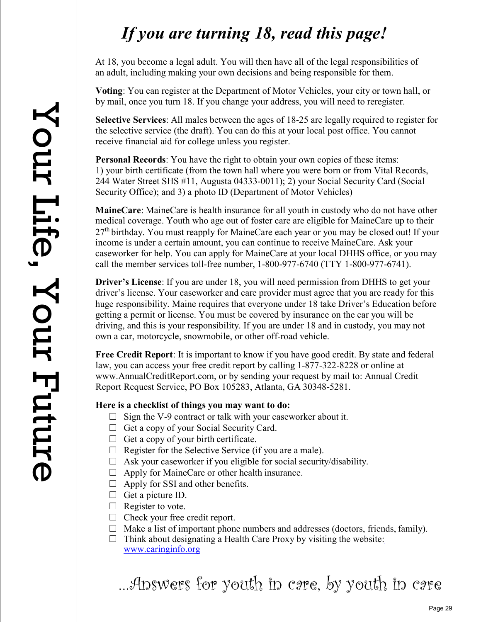# *If you are turning 18, read this page!*

At 18, you become a legal adult. You will then have all of the legal responsibilities of an adult, including making your own decisions and being responsible for them.

**Voting**: You can register at the Department of Motor Vehicles, your city or town hall, or by mail, once you turn 18. If you change your address, you will need to reregister.

**Selective Services**: All males between the ages of 18-25 are legally required to register for the selective service (the draft). You can do this at your local post office. You cannot receive financial aid for college unless you register.

**Personal Records**: You have the right to obtain your own copies of these items: 1) your birth certificate (from the town hall where you were born or from Vital Records, 244 Water Street SHS #11, Augusta 04333-0011); 2) your Social Security Card (Social Security Office); and 3) a photo ID (Department of Motor Vehicles)

**MaineCare**: MaineCare is health insurance for all youth in custody who do not have other medical coverage. Youth who age out of foster care are eligible for MaineCare up to their  $27<sup>th</sup>$  birthday. You must reapply for MaineCare each year or you may be closed out! If your income is under a certain amount, you can continue to receive MaineCare. Ask your caseworker for help. You can apply for MaineCare at your local DHHS office, or you may call the member services toll-free number, 1-800-977-6740 (TTY 1-800-977-6741).

**Driver's License**: If you are under 18, you will need permission from DHHS to get your driver's license. Your caseworker and care provider must agree that you are ready for this huge responsibility. Maine requires that everyone under 18 take Driver's Education before getting a permit or license. You must be covered by insurance on the car you will be driving, and this is your responsibility. If you are under 18 and in custody, you may not own a car, motorcycle, snowmobile, or other off-road vehicle.

**Free Credit Report**: It is important to know if you have good credit. By state and federal law, you can access your free credit report by calling 1-877-322-8228 or online at [www.AnnualCreditReport.com, o](http://www.annualcreditreport.com/)r by sending your request by mail to: Annual Credit Report Request Service, PO Box 105283, Atlanta, GA 30348-5281.

# **Here is a checklist of things you may want to do:**

- $\Box$  Sign the V-9 contract or talk with your caseworker about it.
- $\Box$  Get a copy of your Social Security Card.
- $\Box$  Get a copy of your birth certificate.
- $\Box$  Register for the Selective Service (if you are a male).
- $\Box$  Ask your caseworker if you eligible for social security/disability.
- $\Box$  Apply for MaineCare or other health insurance.
- $\Box$  Apply for SSI and other benefits.
- □ Get a picture ID.
- $\Box$  Register to vote.
- □ Check your free credit report.
- $\Box$  Make a list of important phone numbers and addresses (doctors, friends, family).
- $\Box$  Think about designating a Health Care Proxy by visiting the website: [www.caringinfo.org](http://www.caringinfo.org/)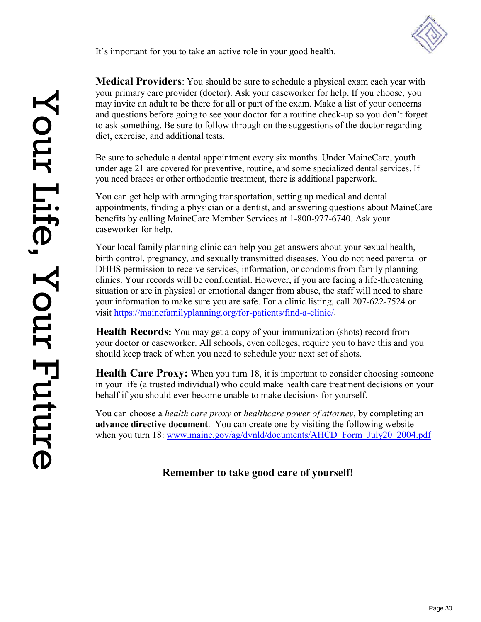It's important for you to take an active role in your good health.

**Medical Providers**: You should be sure to schedule a physical exam each year with your primary care provider (doctor). Ask your caseworker for help. If you choose, you may invite an adult to be there for all or part of the exam. Make a list of your concerns and questions before going to see your doctor for a routine check-up so you don't forget to ask something. Be sure to follow through on the suggestions of the doctor regarding diet, exercise, and additional tests.

Be sure to schedule a dental appointment every six months. Under MaineCare, youth under age 21 are covered for preventive, routine, and some specialized dental services. If you need braces or other orthodontic treatment, there is additional paperwork.

You can get help with arranging transportation, setting up medical and dental appointments, finding a physician or a dentist, and answering questions about MaineCare benefits by calling MaineCare Member Services at 1-800-977-6740. Ask your caseworker for help.

Your local family planning clinic can help you get answers about your sexual health, birth control, pregnancy, and sexually transmitted diseases. You do not need parental or DHHS permission to receive services, information, or condoms from family planning clinics. Your records will be confidential. However, if you are facing a life-threatening situation or are in physical or emotional danger from abuse, the staff will need to share your information to make sure you are safe. For a clinic listing, call 207-622-7524 or visit [https://mainefamilyplanning.org/for-patients/find-a-clinic/.](https://mainefamilyplanning.org/for-patients/find-a-clinic/)

**Health Records:** You may get a copy of your immunization (shots) record from your doctor or caseworker. All schools, even colleges, require you to have this and you should keep track of when you need to schedule your next set of shots.

**Health Care Proxy:** When you turn 18, it is important to consider choosing someone in your life (a trusted individual) who could make health care treatment decisions on your behalf if you should ever become unable to make decisions for yourself.

You can choose a *health care proxy* or *healthcare power of attorney*, by completing an **advance directive document**. You can create one by visiting the following website when you turn 18: [www.maine.gov/ag/dynld/documents/AHCD\\_Form\\_July20\\_2004.pdf](http://www.maine.gov/ag/dynld/documents/AHCD_Form_July20_2004.pdf)

# **Remember to take good care of yourself!**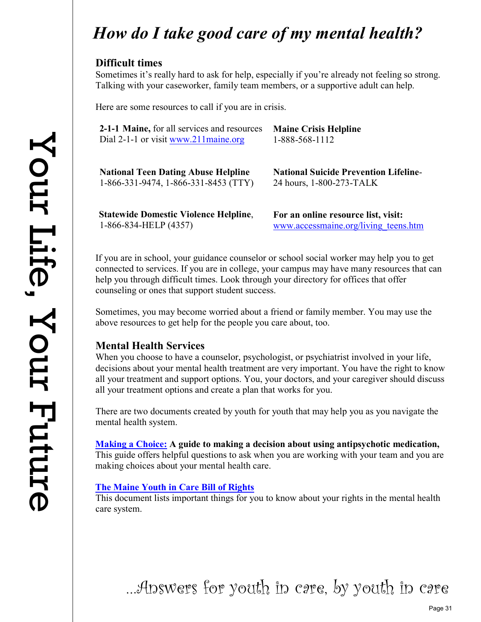# *How do I take good care of my mental health?*

# **Difficult times**

Sometimes it's really hard to ask for help, especially if you're already not feeling so strong. Talking with your caseworker, family team members, or a supportive adult can help.

Here are some resources to call if you are in crisis.

| 2-1-1 Maine, for all services and resources | <b>Maine Crisis Helpline</b> |
|---------------------------------------------|------------------------------|
| Dial 2-1-1 or visit www.211 $maine.org$     | 1-888-568-1112               |

| <b>National Teen Dating Abuse Helpline</b>   | <b>National Suicide Prevention Lifeline-</b> |
|----------------------------------------------|----------------------------------------------|
| $1-866-331-9474$ , $1-866-331-8453$ (TTY)    | 24 hours, 1-800-273-TALK                     |
| <b>Statewide Domestic Violence Helpline,</b> | For an online resource list, visit:          |
| $1-866-834$ -HELP (4357)                     | www.accessmaine.org/living teens.htm         |

If you are in school, your guidance counselor or school social worker may help you to get connected to services. If you are in college, your campus may have many resources that can help you through difficult times. Look through your directory for offices that offer counseling or ones that support student success.

Sometimes, you may become worried about a friend or family member. You may use the above resources to get help for the people you care about, too.

# **Mental Health Services**

When you choose to have a counselor, psychologist, or psychiatrist involved in your life, decisions about your mental health treatment are very important. You have the right to know all your treatment and support options. You, your doctors, and your caregiver should discuss all your treatment options and create a plan that works for you.

There are two documents created by youth for youth that may help you as you navigate the mental health system.

**[Making a Choice:](https://c0813ee5-b9d5-416c-a232-bb13f6f6a54b.filesusr.com/ugd/367d17_63649ec169f548f7aaa636a4d34a027c.pdf) A guide to making a decision about using antipsychotic medication,** This guide offers helpful questions to ask when you are working with your team and you are making choices about your mental health care.

### **[The Maine Youth in Care Bill of Rights](https://c0813ee5-b9d5-416c-a232-bb13f6f6a54b.filesusr.com/ugd/e96e93_f7f6e7cc67bb4386bfa0640b0a4f982d.pdf)**

This document lists important things for you to know about your rights in the mental health care system.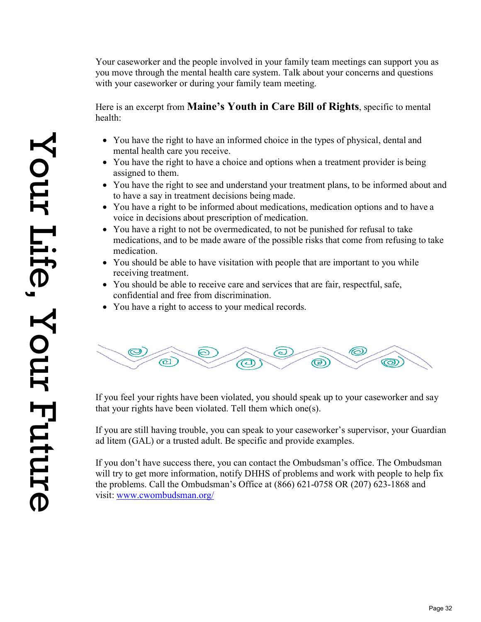Your caseworker and the people involved in your family team meetings can support you as you move through the mental health care system. Talk about your concerns and questions with your caseworker or during your family team meeting.

Here is an excerpt from **Maine's Youth in Care Bill of Rights**, specific to mental health:

- You have the right to have an informed choice in the types of physical, dental and mental health care you receive.
- You have the right to have a choice and options when a treatment provider is being assigned to them.
- You have the right to see and understand your treatment plans, to be informed about and to have a say in treatment decisions being made.
- You have a right to be informed about medications, medication options and to have a voice in decisions about prescription of medication.
- You have a right to not be overmedicated, to not be punished for refusal to take medications, and to be made aware of the possible risks that come from refusing to take medication.
- You should be able to have visitation with people that are important to you while receiving treatment.
- You should be able to receive care and services that are fair, respectful, safe, confidential and free from discrimination.
- You have a right to access to your medical records.



If you feel your rights have been violated, you should speak up to your caseworker and say that your rights have been violated. Tell them which one(s).

If you are still having trouble, you can speak to your caseworker's supervisor, your Guardian ad litem (GAL) or a trusted adult. Be specific and provide examples.

If you don't have success there, you can contact the Ombudsman's office. The Ombudsman will try to get more information, notify DHHS of problems and work with people to help fix the problems. Call the Ombudsman's Office at (866) 621-0758 OR (207) 623-1868 and visit: www.cwombudsman.org/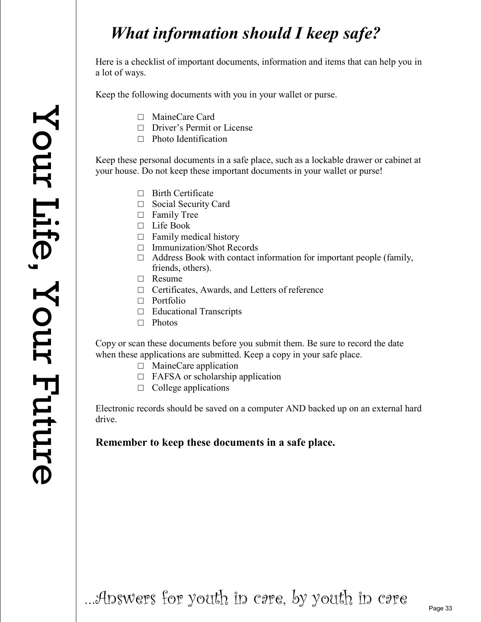# *What information should I keep safe?*

Here is a checklist of important documents, information and items that can help you in a lot of ways.

Keep the following documents with you in your wallet or purse.

- **□** MaineCare Card
- **□** Driver's Permit or License
- **□** Photo Identification

Keep these personal documents in a safe place, such as a lockable drawer or cabinet at your house. Do not keep these important documents in your wallet or purse!

- **□** Birth Certificate
- **□** Social Security Card
- **□** Family Tree
- **□** Life Book
- **□** Family medical history
- **□** Immunization/Shot Records
- **□** Address Book with contact information for important people (family, friends, others).
- **□** Resume
- **□** Certificates, Awards, and Letters of reference
- **□** Portfolio
- **□** Educational Transcripts
- **□** Photos

Copy or scan these documents before you submit them. Be sure to record the date when these applications are submitted. Keep a copy in your safe place.

- **□** MaineCare application
- **□** FAFSA or scholarship application
- **□** College applications

Electronic records should be saved on a computer AND backed up on an external hard drive.

# **Remember to keep these documents in a safe place.**

…Answers for youth in care, by youth in care

Page 33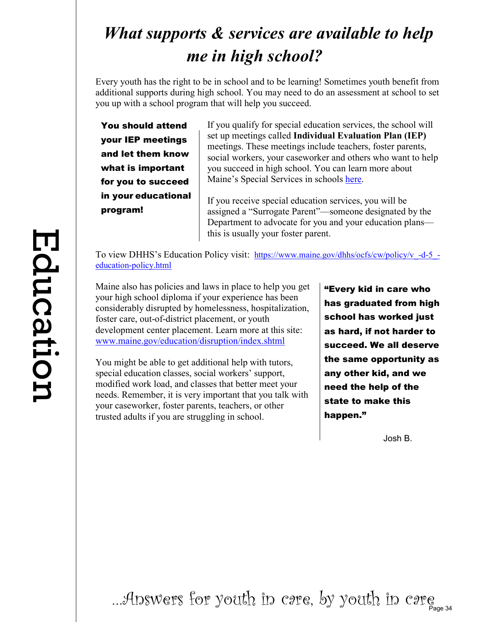# *What supports & services are available to help me in high school?*

Every youth has the right to be in school and to be learning! Sometimes youth benefit from additional supports during high school. You may need to do an assessment at school to set you up with a school program that will help you succeed.

You should attend your IEP meetings and let them know what is important for you to succeed in your educational program!

If you qualify for special education services, the school will set up meetings called **Individual Evaluation Plan (IEP)**  meetings. These meetings include teachers, foster parents, social workers, your caseworker and others who want to help you succeed in high school. You can learn more about Maine's Special Services in schools [here.](https://www.maine.gov/doe/learning/specialed)

If you receive special education services, you will be assigned a "Surrogate Parent"—someone designated by the Department to advocate for you and your education plans this is usually your foster parent.

To view DHHS's Education Policy visit: https://www.maine.gov/dhhs/ocfs/cw/policy/v -d-5 [education-policy.html](https://www.maine.gov/dhhs/ocfs/cw/policy/v_-d-5_-education-policy.html)

Maine also has policies and laws in place to help you get your high school diploma if your experience has been considerably disrupted by homelessness, hospitalization, foster care, out-of-district placement, or youth development center placement. Learn more at this site: [www.maine.gov/education/disruption/index.shtml](http://www.maine.gov/education/disruption/index.shtml)

You might be able to get additional help with tutors, special education classes, social workers' support, modified work load, and classes that better meet your needs. Remember, it is very important that you talk with your caseworker, foster parents, teachers, or other trusted adults if you are struggling in school.

"Every kid in care who has graduated from high school has worked just as hard, if not harder to succeed. We all deserve the same opportunity as any other kid, and we need the help of the state to make this happen."

Josh B.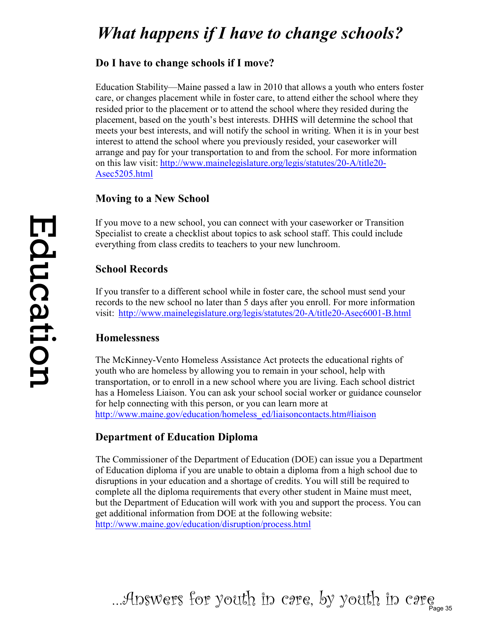# *What happens if I have to change schools?*

# **Do I have to change schools if I move?**

Education Stability—Maine passed a law in 2010 that allows a youth who enters foster care, or changes placement while in foster care, to attend either the school where they resided prior to the placement or to attend the school where they resided during the placement, based on the youth's best interests. DHHS will determine the school that meets your best interests, and will notify the school in writing. When it is in your best interest to attend the school where you previously resided, your caseworker will arrange and pay for your transportation to and from the school. For more information on this law visit: [http://www.mainelegislature.org/legis/statutes/20-A/title20-](http://www.mainelegislature.org/legis/statutes/20-A/title20-Asec5205.html) [Asec5205.html](http://www.mainelegislature.org/legis/statutes/20-A/title20-Asec5205.html)

# **Moving to a New School**

If you move to a new school, you can connect with your caseworker or Transition Specialist to create a checklist about topics to ask school staff. This could include everything from class credits to teachers to your new lunchroom.

# **School Records**

If you transfer to a different school while in foster care, the school must send your records to the new school no later than 5 days after you enroll. For more information visit: <http://www.mainelegislature.org/legis/statutes/20-A/title20-Asec6001-B.html>

# **Homelessness**

The McKinney-Vento Homeless Assistance Act protects the educational rights of youth who are homeless by allowing you to remain in your school, help with transportation, or to enroll in a new school where you are living. Each school district has a Homeless Liaison. You can ask your school social worker or guidance counselor for help connecting with this person, or you can learn more at [http://www.maine.gov/education/homeless\\_ed/liaisoncontacts.htm#liaison](http://www.maine.gov/education/homeless_ed/liaisoncontacts.htm#liaison)

# **Department of Education Diploma**

The Commissioner of the Department of Education (DOE) can issue you a Department of Education diploma if you are unable to obtain a diploma from a high school due to disruptions in your education and a shortage of credits. You will still be required to complete all the diploma requirements that every other student in Maine must meet, but the Department of Education will work with you and support the process. You can get additional information from DOE at the following website: <http://www.maine.gov/education/disruption/process.html>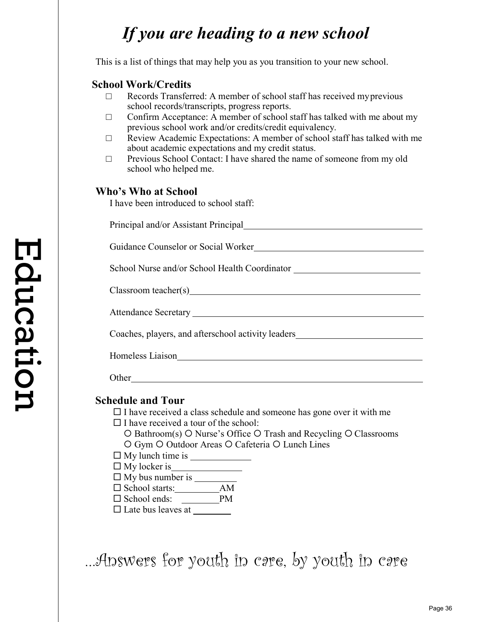# *If you are heading to a new school*

This is a list of things that may help you as you transition to your new school.

### **School Work/Credits**

- **□** Records Transferred: A member of school staff has received myprevious school records/transcripts, progress reports.
- **□** Confirm Acceptance: A member of school staff has talked with me about my previous school work and/or credits/credit equivalency.
- **□** Review Academic Expectations: A member of school staff has talked with me about academic expectations and my credit status.
- **□** Previous School Contact: I have shared the name of someone from my old school who helped me.

### **Who's Who at School**

I have been introduced to school staff:

Principal and/or Assistant Principal

| Guidance Counselor or Social Worker                                               |
|-----------------------------------------------------------------------------------|
| School Nurse and/or School Health Coordinator __________________________________  |
|                                                                                   |
|                                                                                   |
| Coaches, players, and afterschool activity leaders_______________________________ |
| Homeless Liaison                                                                  |
| Other                                                                             |
|                                                                                   |

### **Schedule and Tour**

- $\square$  I have received a class schedule and someone has gone over it with me
- $\square$  I have received a tour of the school:
	- $O$  Bathroom(s)  $O$  Nurse's Office  $O$  Trash and Recycling  $O$  Classrooms O Gym O Outdoor Areas O Cafeteria O Lunch Lines
- $\square$  My lunch time is  $\_\_\_\_\_\_\_\_\_\_\_\_\_\_\_\_\_\_\_$
- $\Box$  My locker is
- $\Box$  My bus number is
- □ School starts: AM
- □ School ends: PM
- $\square$  Late bus leaves at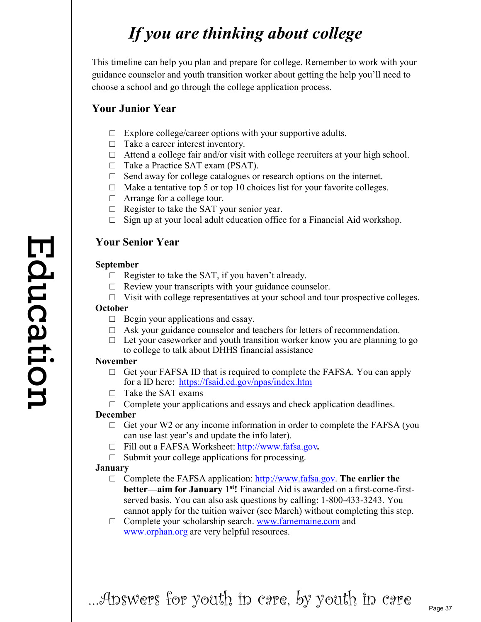# *If you are thinking about college*

This timeline can help you plan and prepare for college. Remember to work with your guidance counselor and youth transition worker about getting the help you'll need to choose a school and go through the college application process.

# **Your Junior Year**

- **□** Explore college/career options with your supportive adults.
- **□** Take a career interest inventory.
- **□** Attend a college fair and/or visit with college recruiters at your high school.
- **□** Take a Practice SAT exam (PSAT).
- **□** Send away for college catalogues or research options on the internet.
- **□** Make a tentative top 5 or top 10 choices list for your favorite colleges.
- **□** Arrange for a college tour.
- **□** Register to take the SAT your senior year.
- **□** Sign up at your local adult education office for a Financial Aid workshop.

# **Your Senior Year**

### **September**

- **□** Register to take the SAT, if you haven't already.
- **□** Review your transcripts with your guidance counselor.
- **□** Visit with college representatives at your school and tour prospective colleges.

### **October**

- **□** Begin your applications and essay.
- **□** Ask your guidance counselor and teachers for letters of recommendation.
- **□** Let your caseworker and youth transition worker know you are planning to go to college to talk about DHHS financial assistance

### **November**

- **□** Get your FAFSA ID that is required to complete the FAFSA. You can apply for a ID here: <https://fsaid.ed.gov/npas/index.htm>
- **□** Take the SAT exams
- □ Complete your applications and essays and check application deadlines.

### **December**

- **□** Get your W2 or any income information in order to complete the FAFSA (you can use last year's and update the info later).
- **□** Fill out a FAFSA Worksheet: [http://www.fafsa.gov](http://www.fafsa.gov/)*.*
- **□** Submit your college applications for processing.

### **January**

- **□** Complete the FAFSA application: [http://www.fafsa.gov.](http://www.fafsa.gov/) **The earlier the better—aim for January 1<sup>st</sup>!** Financial Aid is awarded on a first-come-firstserved basis. You can also ask questions by calling: 1-800-433-3243. You cannot apply for the tuition waiver (see March) without completing this step.
- **□** Complete your scholarship search. [www.famemaine.com](http://www.famemaine.org/) an[d](http://www.orphan.org/) [www.orphan.org](http://www.orphan.org/) are very helpful resources.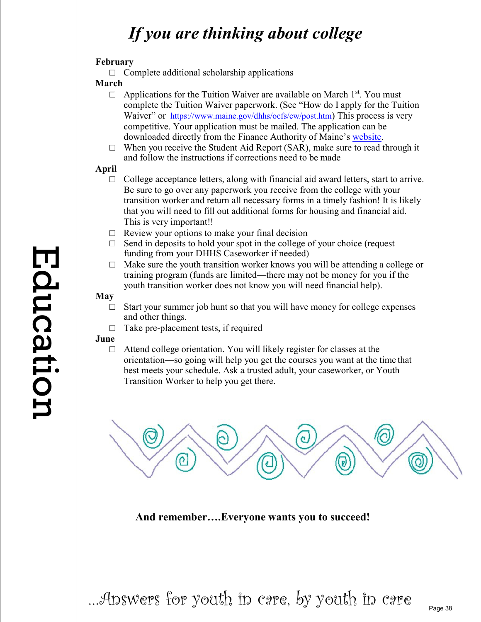# *If you are thinking about college*

### **February**

**□** Complete additional scholarship applications

### **March**

- □ Applications for the Tuition Waiver are available on March 1<sup>st</sup>. You must complete the Tuition Waiver paperwork. (See "How do I apply for the Tuition Waiver" or [https://www.maine.gov/dhhs/ocfs/cw/post.htm\)](http://www.maine.gov/dhhs/ocfs/cw/post.htm)) This process is very competitive. Your application must be mailed. The application can be downloaded directly from the Finance Authority of Maine's [website.](https://www.famemaine.com/maine_grants_loans/tuition-waiver-program/)
- **□** When you receive the Student Aid Report (SAR), make sure to read through it and follow the instructions if corrections need to be made

### **April**

- **□** College acceptance letters, along with financial aid award letters, start to arrive. Be sure to go over any paperwork you receive from the college with your transition worker and return all necessary forms in a timely fashion! It is likely that you will need to fill out additional forms for housing and financial aid. This is very important!!
- **□** Review your options to make your final decision
- **□** Send in deposits to hold your spot in the college of your choice (request funding from your DHHS Caseworker if needed)
- **□** Make sure the youth transition worker knows you will be attending a college or training program (funds are limited—there may not be money for you if the youth transition worker does not know you will need financial help).

# **May**

- **□** Start your summer job hunt so that you will have money for college expenses and other things.
- **□** Take pre-placement tests, if required

### **June**

**□** Attend college orientation. You will likely register for classes at the orientation—so going will help you get the courses you want at the time that best meets your schedule. Ask a trusted adult, your caseworker, or Youth Transition Worker to help you get there.



**And remember….Everyone wants you to succeed!**

…Answers for youth in care, by youth in care

# Education Education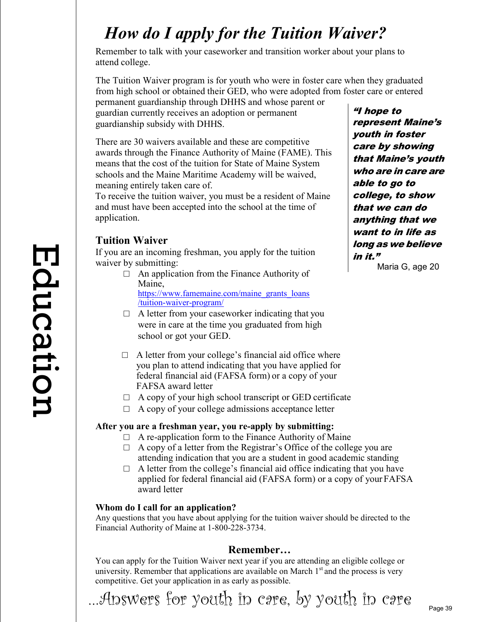# *How do I apply for the Tuition Waiver?*

Remember to talk with your caseworker and transition worker about your plans to attend college.

The Tuition Waiver program is for youth who were in foster care when they graduated from high school or obtained their GED, who were adopted from foster care or entered

permanent guardianship through DHHS and whose parent or guardian currently receives an adoption or permanent guardianship subsidy with DHHS.

There are 30 waivers available and these are competitive awards through the Finance Authority of Maine (FAME). This means that the cost of the tuition for State of Maine System schools and the Maine Maritime Academy will be waived, meaning entirely taken care of.

To receive the tuition waiver, you must be a resident of Maine and must have been accepted into the school at the time of application.

# **Tuition Waiver**

EducationEducation

If you are an incoming freshman, you apply for the tuition waiver by submitting:

- **□** An application from the Finance Authority of Maine, [https://www.famemaine.com/maine\\_grants\\_loans](https://www.famemaine.com/maine_grants_loans/tuition-waiver-program/)
- [/tuition-waiver-program/](https://www.famemaine.com/maine_grants_loans/tuition-waiver-program/) **□** A letter from your caseworker indicating that you were in care at the time you graduated from high school or got your GED.
- **□** A letter from your college's financial aid office where you plan to attend indicating that you have applied for federal financial aid (FAFSA form) or a copy of your FAFSA award letter
- **□** A copy of your high school transcript or GED certificate
- **□** A copy of your college admissions acceptance letter

### **After you are a freshman year, you re-apply by submitting:**

- **□** A re-application form to the Finance Authority of Maine
- **□** A copy of a letter from the Registrar's Office of the college you are attending indication that you are a student in good academic standing
- **□** A letter from the college's financial aid office indicating that you have applied for federal financial aid (FAFSA form) or a copy of yourFAFSA award letter

### **Whom do I call for an application?**

Any questions that you have about applying for the tuition waiver should be directed to the Financial Authority of Maine at 1-800-228-3734.

# **Remember…**

You can apply for the Tuition Waiver next year if you are attending an eligible college or university. Remember that applications are available on March  $1<sup>st</sup>$  and the process is very competitive. Get your application in as early as possible.

"I hope to represent Maine's youth in foster care by showing that Maine's youth who are in care are able to go to college, to show that we can do anything that we want to in life as long as we believe in it."

Maria G, age 20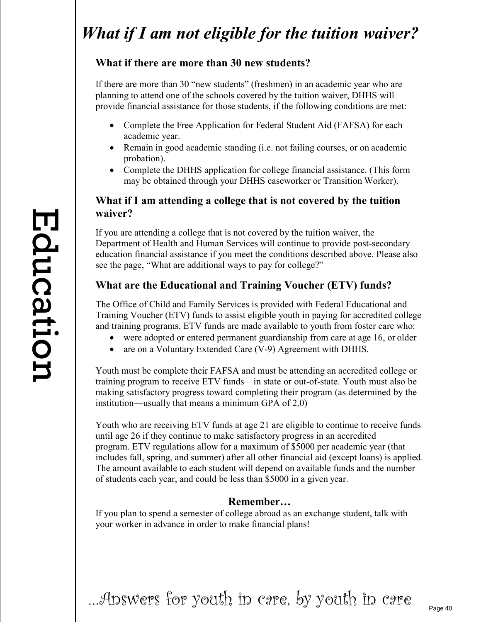# *What if I am not eligible for the tuition waiver?*

# **What if there are more than 30 new students?**

If there are more than 30 "new students" (freshmen) in an academic year who are planning to attend one of the schools covered by the tuition waiver, DHHS will provide financial assistance for those students, if the following conditions are met:

- Complete the Free Application for Federal Student Aid (FAFSA) for each academic year.
- Remain in good academic standing (i.e. not failing courses, or on academic probation).
- Complete the DHHS application for college financial assistance. (This form may be obtained through your DHHS caseworker or Transition Worker).

# **What if I am attending a college that is not covered by the tuition waiver?**

If you are attending a college that is not covered by the tuition waiver, the Department of Health and Human Services will continue to provide post-secondary education financial assistance if you meet the conditions described above. Please also see the page, "What are additional ways to pay for college?"

# **What are the Educational and Training Voucher (ETV) funds?**

The Office of Child and Family Services is provided with Federal Educational and Training Voucher (ETV) funds to assist eligible youth in paying for accredited college and training programs. ETV funds are made available to youth from foster care who:

- were adopted or entered permanent guardianship from care at age 16, or older
- are on a Voluntary Extended Care (V-9) Agreement with DHHS.

Youth must be complete their FAFSA and must be attending an accredited college or training program to receive ETV funds—in state or out-of-state. Youth must also be making satisfactory progress toward completing their program (as determined by the institution—usually that means a minimum GPA of 2.0)

Youth who are receiving ETV funds at age 21 are eligible to continue to receive funds until age 26 if they continue to make satisfactory progress in an accredited program. ETV regulations allow for a maximum of \$5000 per academic year (that includes fall, spring, and summer) after all other financial aid (except loans) is applied. The amount available to each student will depend on available funds and the number of students each year, and could be less than \$5000 in a given year.

# **Remember…**

If you plan to spend a semester of college abroad as an exchange student, talk with your worker in advance in order to make financial plans!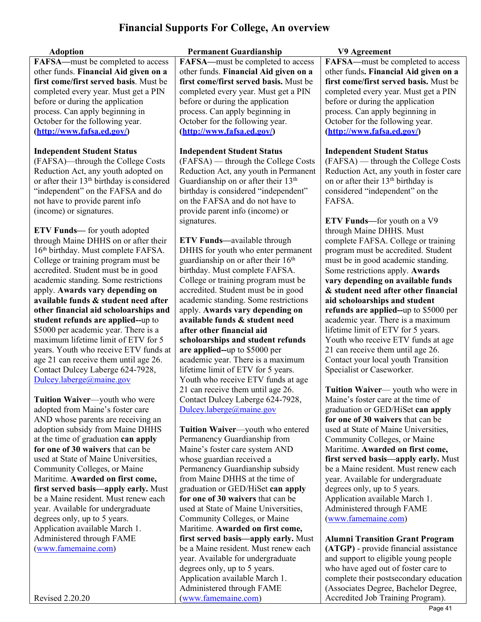# **Financial Supports For College, An overview**

**FAFSA—**must be completed to access other funds. **Financial Aid given on a first come/first served basis**. Must be completed every year. Must get a PIN before or during the application process. Can apply beginning in October for the following year. **[\(http://www.fafsa.ed.gov/\)](http://www.fafsa.ed.gov/))**

### **Independent Student Status**

(FAFSA)—through the College Costs Reduction Act, any youth adopted on or after their 13<sup>th</sup> birthday is considered "independent" on the FAFSA and do not have to provide parent info (income) or signatures.

**ETV Funds—** for youth adopted through Maine DHHS on or after their 16th birthday. Must complete FAFSA. College or training program must be accredited. Student must be in good academic standing. Some restrictions apply. **Awards vary depending on available funds & student need after other financial aid scholoarships and student refunds are applied--**up to \$5000 per academic year. There is a maximum lifetime limit of ETV for 5 years. Youth who receive ETV funds at age 21 can receive them until age 26. Contact Dulcey Laberge 624-7928, [Dulcey.laberge@maine.gov](mailto:Dulcey.laberge@maine.gov)

**Tuition Waiver**—youth who were adopted from Maine's foster care AND whose parents are receiving an adoption subsidy from Maine DHHS at the time of graduation **can apply for one of 30 waivers** that can be used at State of Maine Universities, Community Colleges, or Maine Maritime. **Awarded on first come, first served basis—apply early.** Must be a Maine resident. Must renew each year. Available for undergraduate degrees only, up to 5 years. Application available March 1. Administered through FAME [\(www.famemaine.com\)](http://www.famemaine.com/)

### **Adoption Permanent Guardianship V9 Agreement**

**FAFSA—**must be completed to access other funds. **Financial Aid given on a first come/first served basis.** Must be completed every year. Must get a PIN before or during the application process. Can apply beginning in October for the following year. **[\(http://www.fafsa.ed.gov/\)](http://www.fafsa.ed.gov/))**

### **Independent Student Status**

(FAFSA) — through the College Costs Reduction Act, any youth in Permanent Guardianship on or after their 13<sup>th</sup> birthday is considered "independent" on the FAFSA and do not have to provide parent info (income) or signatures.

**ETV Funds—**available through DHHS for youth who enter permanent guardianship on or after their  $16<sup>th</sup>$ birthday. Must complete FAFSA. College or training program must be accredited. Student must be in good academic standing. Some restrictions apply. **Awards vary depending on available funds & student need after other financial aid scholoarships and student refunds are applied--**up to \$5000 per academic year. There is a maximum lifetime limit of ETV for 5 years. Youth who receive ETV funds at age 21 can receive them until age 26. Contact Dulcey Laberge 624-7928, [Dulcey.laberge@maine.gov](mailto:Dulcey.laberge@maine.gov)

**Tuition Waiver**—youth who entered Permanency Guardianship from Maine's foster care system AND whose guardian received a Permanency Guardianship subsidy from Maine DHHS at the time of graduation or GED/HiSet **can apply for one of 30 waivers** that can be used at State of Maine Universities, Community Colleges, or Maine Maritime. **Awarded on first come, first served basis—apply early.** Must be a Maine resident. Must renew each year. Available for undergraduate degrees only, up to 5 years. Application available March 1. Administered through FAME (www.famemaine.com)

**FAFSA—**must be completed to access other funds**. Financial Aid given on a first come/first served basis.** Must be completed every year. Must get a PIN before or during the application process. Can apply beginning in October for the following year. **[\(http://www.fafsa.ed.gov/\)](http://www.fafsa.ed.gov/))**

### **Independent Student Status**

(FAFSA) — through the College Costs Reduction Act, any youth in foster care on or after their 13<sup>th</sup> birthday is considered "independent" on the FAFSA.

**ETV Funds—**for youth on a V9 through Maine DHHS. Must complete FAFSA. College or training program must be accredited. Student must be in good academic standing. Some restrictions apply. **Awards vary depending on available funds & student need after other financial aid scholoarships and student refunds are applied--**up to \$5000 per academic year. There is a maximum lifetime limit of ETV for 5 years. Youth who receive ETV funds at age 21 can receive them until age 26. Contact your local youth Transition Specialist or Caseworker.

**Tuition Waiver**— youth who were in Maine's foster care at the time of graduation or GED/HiSet **can apply for one of 30 waivers** that can be used at State of Maine Universities, Community Colleges, or Maine Maritime. **Awarded on first come, first served basis—apply early.** Must be a Maine resident. Must renew each year. Available for undergraduate degrees only, up to 5 years. Application available March 1. Administered through FAME (www.famemaine.com)

**Alumni Transition Grant Program (ATGP)** - provide financial assistance and support to eligible young people who have aged out of foster care to complete their postsecondary education (Associates Degree, Bachelor Degree, Accredited Job Training Program).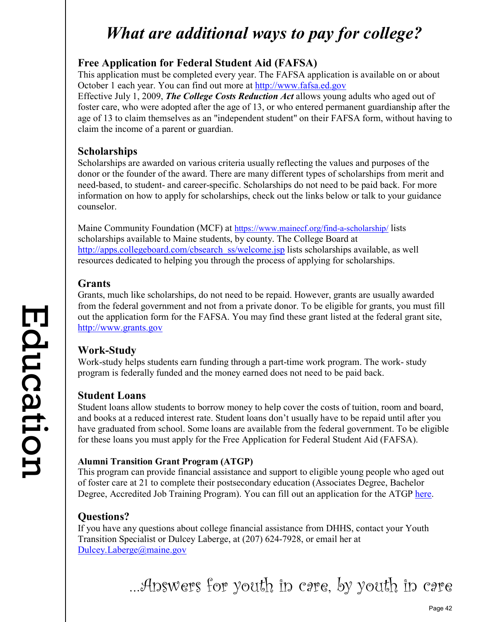# *What are additional ways to pay for college?*

# **Free Application for Federal Student Aid (FAFSA)**

This application must be completed every year. The FAFSA application is available on or about October 1 each year. You can find out more at [http://www.fafsa.ed.gov](http://www.fafsa.ed.gov/)

Effective July 1, 2009, *The College Costs Reduction Act* allows young adults who aged out of foster care, who were adopted after the age of 13, or who entered permanent guardianship after the age of 13 to claim themselves as an "independent student" on their FAFSA form, without having to claim the income of a parent or guardian.

# **Scholarships**

Scholarships are awarded on various criteria usually reflecting the values and purposes of the donor or the founder of the award. There are many different types of scholarships from merit and need-based, to student- and career-specific. Scholarships do not need to be paid back. For more information on how to apply for scholarships, check out the links below or talk to your guidance counselor.

Maine Community Foundation (MCF) at<https://www.mainecf.org/find-a-scholarship/>lists scholarships available to Maine students, by county. The College Board at [http://apps.collegeboard.com/cbsearch\\_ss/welcome.jsp](http://apps.collegeboard.com/cbsearch_ss/welcome.jsp) lists scholarships available, as well resources dedicated to helping you through the process of applying for scholarships.

# **Grants**

Grants, much like scholarships, do not need to be repaid. However, grants are usually awarded from the federal government and not from a private donor. To be eligible for grants, you must fill out the application form for the FAFSA. You may find these grant listed at the federal grant site, [http://www.grants.gov](http://www.grants.gov/)

# **Work-Study**

Work-study helps students earn funding through a part-time work program. The work- study program is federally funded and the money earned does not need to be paid back.

# **Student Loans**

Student loans allow students to borrow money to help cover the costs of tuition, room and board, and books at a reduced interest rate. Student loans don't usually have to be repaid until after you have graduated from school. Some loans are available from the federal government. To be eligible for these loans you must apply for the Free Application for Federal Student Aid (FAFSA).

# **Alumni Transition Grant Program (ATGP)**

This program can provide financial assistance and support to eligible young people who aged out of foster care at 21 to complete their postsecondary education (Associates Degree, Bachelor Degree, Accredited Job Training Program). You can fill out an application for the ATGP [here.](https://c0813ee5-b9d5-416c-a232-bb13f6f6a54b.filesusr.com/ugd/e96e93_7f3e8a00e0c345398d7c2b2c5a9c24d2.pdf)

# **Questions?**

If you have any questions about college financial assistance from DHHS, contact your Youth Transition Specialist or Dulcey Laberge, at (207) 624-7928, or email her at [Dulcey.Laberge@maine.gov](mailto:Dulcey.Laberge@maine.gov)